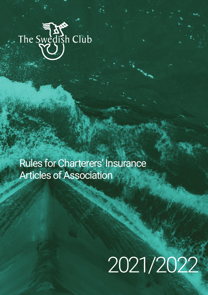# The Swedish Club

Rules for Charterers' Insurance Articles of Association

# 2021/2022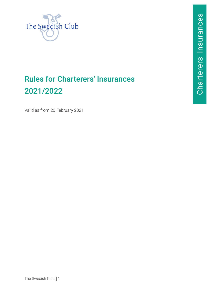

# Rules for Charterers' Insurances 2021/2022

Valid as from 20 February 2021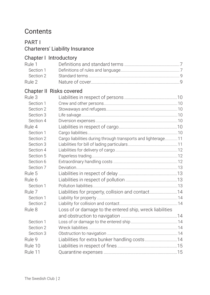# **Contents**

# [PART I](#page-7-0) [Charterers' Liability Insurance](#page-7-0)

# [Chapter I Introductory](#page-7-0)

| Rule 1    |                                                               |  |
|-----------|---------------------------------------------------------------|--|
| Section 1 |                                                               |  |
| Section 2 |                                                               |  |
| Rule 2    |                                                               |  |
|           | <b>Chapter II Risks covered</b>                               |  |
| Rule 3    |                                                               |  |
| Section 1 |                                                               |  |
| Section 2 |                                                               |  |
| Section 3 |                                                               |  |
| Section 4 |                                                               |  |
| Rule 4    |                                                               |  |
| Section 1 |                                                               |  |
| Section 2 | Cargo liabilities during through transports and lighterage 11 |  |
| Section 3 |                                                               |  |
| Section 4 |                                                               |  |
| Section 5 |                                                               |  |
| Section 6 |                                                               |  |
| Section 7 |                                                               |  |
| Rule 5    |                                                               |  |
| Rule 6    |                                                               |  |
| Section 1 |                                                               |  |
| Rule 7    | Liabilities for property, collision and contact14             |  |
| Section 1 |                                                               |  |
| Section 2 |                                                               |  |
| Rule 8    | Loss of or damage to the entered ship, wreck liabilities      |  |
|           |                                                               |  |
| Section 1 |                                                               |  |
| Section 2 |                                                               |  |
| Section 3 |                                                               |  |
| Rule 9    |                                                               |  |
| Rule 10   |                                                               |  |
| Rule 11   |                                                               |  |
|           |                                                               |  |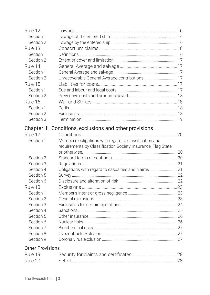| Rule 12                 |                                                               |  |
|-------------------------|---------------------------------------------------------------|--|
| Section 1               |                                                               |  |
| Section 2               |                                                               |  |
| Rule 13                 |                                                               |  |
| Section 1               |                                                               |  |
| Section 2               |                                                               |  |
| Rule 14                 |                                                               |  |
| Section 1               |                                                               |  |
| Section 2               |                                                               |  |
| Rule 15                 |                                                               |  |
| Section 1               |                                                               |  |
| Section 2               |                                                               |  |
| Rule 16                 |                                                               |  |
| Section 1               |                                                               |  |
| Section 2               |                                                               |  |
| Section 3               |                                                               |  |
|                         | Chapter III Conditions, exclusions and other provisions       |  |
| Rule 17                 |                                                               |  |
| Section 1               | Member's obligations with regard to classification and        |  |
|                         | requirements by Classification Society, insurance, Flag State |  |
|                         |                                                               |  |
| Section 2               |                                                               |  |
| Section 3               |                                                               |  |
| Section 4               | Obligations with regard to casualties and claims21            |  |
| Section 5               |                                                               |  |
| Section 6               |                                                               |  |
| Rule 18                 |                                                               |  |
| Section 1               |                                                               |  |
| Section 2               |                                                               |  |
| Section 3               |                                                               |  |
| Section 4               |                                                               |  |
| Section 5               |                                                               |  |
| Section 6               |                                                               |  |
| Section 7               |                                                               |  |
| Section 8               |                                                               |  |
| Section 9               |                                                               |  |
| <b>Other Provisions</b> |                                                               |  |
| Rule 19                 |                                                               |  |
| Rule 20                 |                                                               |  |
|                         |                                                               |  |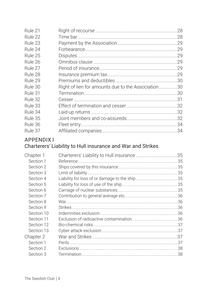| Rule 21 |                                                    | 28  |
|---------|----------------------------------------------------|-----|
| Rule 22 |                                                    | .28 |
| Rule 23 |                                                    | .29 |
| Rule 24 |                                                    | .29 |
| Rule 25 |                                                    | .29 |
| Rule 26 |                                                    | .29 |
| Rule 27 |                                                    | .29 |
| Rule 28 |                                                    | .29 |
| Rule 29 |                                                    |     |
| Rule 30 | Right of lien for amounts due to the Association30 |     |
| Rule 31 |                                                    | .30 |
| Rule 32 |                                                    | .31 |
| Rule 33 |                                                    |     |
| Rule 34 |                                                    |     |
| Rule 35 |                                                    |     |
| Rule 36 |                                                    | .34 |
| Rule 37 |                                                    |     |

# **APPENDIX I**

# Charterers' Liability to Hull insurance and War and Strikes

| Chapter 1  |  |
|------------|--|
| Section 1  |  |
| Section 2  |  |
| Section 3  |  |
| Section 4  |  |
| Section 5  |  |
| Section 6  |  |
| Section 7  |  |
| Section 8  |  |
| Section 9  |  |
| Section 10 |  |
| Section 11 |  |
| Section 12 |  |
| Section 13 |  |
| Chapter 2  |  |
| Section 1  |  |
| Section 2  |  |
| Section 3  |  |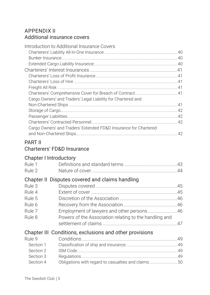# [APPENDIX II](#page-40-0) [Additional insurance covers](#page-40-0)

| Introduction to Additional Insurance Covers                      |  |
|------------------------------------------------------------------|--|
|                                                                  |  |
|                                                                  |  |
|                                                                  |  |
|                                                                  |  |
|                                                                  |  |
|                                                                  |  |
|                                                                  |  |
|                                                                  |  |
| Cargo Owners' and Traders' Legal Liability for Chartered and     |  |
|                                                                  |  |
|                                                                  |  |
|                                                                  |  |
|                                                                  |  |
| Cargo Owners' and Traders' Extended FD&D Insurance for Chartered |  |
|                                                                  |  |
|                                                                  |  |

# [PART II](#page-43-0)

# [Chapter I Introductory](#page-43-0)

| Rule 1    |                                                         |  |
|-----------|---------------------------------------------------------|--|
| Rule 2    |                                                         |  |
|           | Chapter II Disputes covered and claims handling         |  |
| Rule 3    |                                                         |  |
| Rule 4    |                                                         |  |
| Rule 5    |                                                         |  |
| Rule 6    |                                                         |  |
| Rule 7    |                                                         |  |
| Rule 8    | Powers of the Association relating to the handling and  |  |
|           |                                                         |  |
|           | Chapter III Conditions, exclusions and other provisions |  |
| Rule 9    |                                                         |  |
| Section 1 |                                                         |  |
| Section 2 |                                                         |  |
| Section 3 |                                                         |  |
| Section 4 | Obligations with regard to casualties and claims50      |  |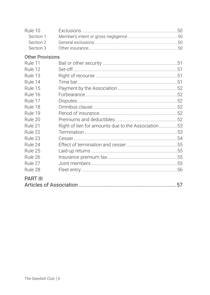| Rule 10<br>Section 1<br>Section 2<br>Section 3 |                                                    |    |
|------------------------------------------------|----------------------------------------------------|----|
| <b>Other Provisions</b>                        |                                                    |    |
| Rule 11                                        |                                                    |    |
| Rule 12                                        |                                                    |    |
| Rule 13                                        |                                                    |    |
| Rule 14                                        |                                                    |    |
| Rule 15                                        |                                                    |    |
| Rule 16                                        |                                                    |    |
| Rule 17                                        |                                                    |    |
| Rule 18                                        |                                                    |    |
| Rule 19                                        |                                                    |    |
| Rule 20                                        |                                                    |    |
| Rule 21                                        | Right of lien for amounts due to the Association53 |    |
| Rule 22                                        |                                                    |    |
| Rule 23                                        |                                                    |    |
| Rule 24                                        |                                                    |    |
| Rule 25                                        |                                                    |    |
| Rule 26                                        |                                                    |    |
| Rule 27                                        |                                                    |    |
| Rule 28                                        |                                                    |    |
| <b>PART III</b>                                |                                                    | 57 |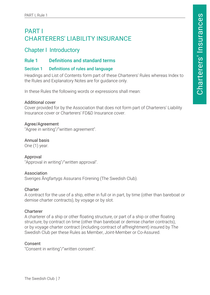# <span id="page-7-0"></span>PART I CHARTERERS' LIABILITY INSURANCE

# Chapter I Introductory

#### Rule 1 Definitions and standard terms

#### Section 1 Definitions of rules and language

Headings and List of Contents form part of these Charterers' Rules whereas Index to the Rules and Explanatory Notes are for guidance only.

In these Rules the following words or expressions shall mean:

#### Additional cover

Cover provided for by the Association that does not form part of Charterers' Liability Insurance cover or Charterers' FD&D Insurance cover.

#### Agree/Agreement

"Agree in writing"/"written agreement".

#### Annual basis

One (1) year.

Approval "Approval in writing"/"written approval".

#### Association

Sveriges Ångfartygs Assurans Förening (The Swedish Club).

#### **Charter**

A contract for the use of a ship, either in full or in part, by time (other than bareboat or demise charter contracts), by voyage or by slot.

#### Charterer

A charterer of a ship or other floating structure, or part of a ship or other floating structure, by contract on time (other than bareboat or demise charter contracts), or by voyage charter contract (including contract of affreightment) insured by The Swedish Club per these Rules as Member, Joint-Member or Co-Assured.

#### Consent

"Consent in writing"/"written consent".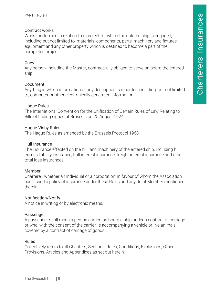#### Contract works

Works performed in relation to a project for which the entered ship is engaged, including but not limited to: materials, components, parts, machinery and fixtures, equipment and any other property which is destined to become a part of the completed project.

#### **Crew**

Any person, including the Master, contractually obliged to serve on board the entered ship.

#### Document

Anything in which information of any description is recorded including, but not limited to, computer or other electronically generated information.

#### Hague Rules

The International Convention for the Unification of Certain Rules of Law Relating to Bills of Lading signed at Brussels on 25 August 1924.

#### Hague-Visby Rules

The Hague Rules as amended by the Brussels Protocol 1968.

#### Hull Insurance

The insurance effected on the hull and machinery of the entered ship, including hull excess liability insurance, hull interest insurance, freight interest insurance and other total loss insurances.

#### Member

Charterer, whether an individual or a corporation, in favour of whom the Association has issued a policy of insurance under these Rules and any Joint Member mentioned therein.

#### Notification/Notify

A notice in writing or by electronic means.

#### Passenger

A passenger shall mean a person carried on board a ship under a contract of carriage or who, with the consent of the carrier, is accompanying a vehicle or live animals covered by a contract of carriage of goods.

#### Rules

Collectively refers to all Chapters, Sections, Rules, Conditions, Exclusions, Other Provisions, Articles and Appendixes as set out herein.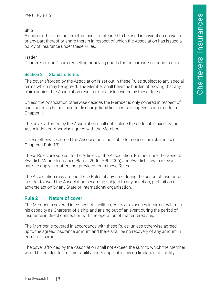#### <span id="page-9-0"></span>Ship

A ship or other floating structure used or intended to be used in navigation on water or any part thereof or share therein in respect of which the Association has issued a policy of insurance under these Rules.

#### Trader

Charterer or non-Charterer selling or buying goods for the carriage on board a ship.

#### Section 2 Standard terms

The cover afforded by the Association is set out in these Rules subject to any special terms which may be agreed. The Member shall have the burden of proving that any claim against the Association results from a risk covered by these Rules.

Unless the Association otherwise decides the Member is only covered in respect of such sums as he has paid to discharge liabilities, costs or expenses referred to in Chapter II.

The cover afforded by the Association shall not include the deductible fixed by the Association or otherwise agreed with the Member.

Unless otherwise agreed the Association is not liable for consortium claims (see Chapter II Rule 13).

These Rules are subject to the Articles of the Association. Furthermore, the General Swedish Marine Insurance Plan of 2006 (SPL 2006) and Swedish Law in relevant parts to apply in matters not provided for in these Rules.

The Association may amend these Rules at any time during the period of insurance in order to avoid the Association becoming subject to any sanction, prohibition or adverse action by any State or International organisation.

#### Rule 2 Nature of cover

The Member is covered in respect of liabilities, costs or expenses incurred by him in his capacity as Charterer of a ship and arising out of an event during the period of insurance in direct connection with the operation of that entered ship.

The Member is covered in accordance with these Rules, unless otherwise agreed, up to the agreed insurance amount and there shall be no recovery of any amount in excess of same.

The cover afforded by the Association shall not exceed the sum to which the Member would be entitled to limit his liability under applicable law on limitation of liability.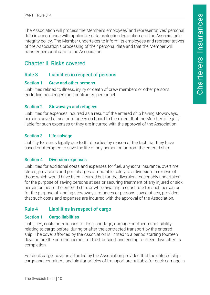<span id="page-10-0"></span>The Association will process the Member's employees' and representatives' personal data in accordance with applicable data protection legislation and the Association's integrity policy. The Member undertakes to inform its employees and representatives of the Association's processing of their personal data and that the Member will transfer personal data to the Association.

# Chapter II Risks covered

#### Rule 3 Liabilities in respect of persons

#### Section 1 Crew and other persons

Liabilities related to illness, injury or death of crew members or other persons excluding passengers and contracted personnel.

#### Section 2 Stowaways and refugees

Liabilities for expenses incurred as a result of the entered ship having stowaways, persons saved at sea or refugees on board to the extent that the Member is legally liable for such expenses or they are incurred with the approval of the Association.

#### Section 3 Life salvage

Liability for sums legally due to third parties by reason of the fact that they have saved or attempted to save the life of any person on or from the entered ship.

#### Section 4 Diversion expenses

Liabilities for additional costs and expenses for fuel, any extra insurance, overtime, stores, provisions and port charges attributable solely to a diversion, in excess of those which would have been incurred but for the diversion, reasonably undertaken for the purpose of saving persons at sea or securing treatment of any injured or sick person on board the entered ship, or while awaiting a substitute for such person or for the purpose of landing stowaways, refugees or persons saved at sea, provided that such costs and expenses are incurred with the approval of the Association.

#### Rule 4 Liabilities in respect of cargo

#### Section 1 Cargo liabilities

Liabilities, costs or expenses for loss, shortage, damage or other responsibility relating to cargo before, during or after the contracted transport by the entered ship. The cover afforded by the Association is limited to a period starting fourteen days before the commencement of the transport and ending fourteen days after its completion.

For deck cargo, cover is afforded by the Association provided that the entered ship, cargo and containers and similar articles of transport are suitable for deck carriage in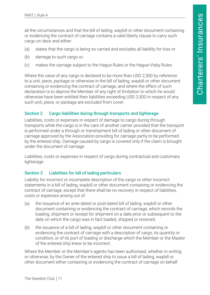<span id="page-11-0"></span>all the circumstances and that the bill of lading, waybill or other document containing or evidencing the contract of carriage contains a valid liberty clause to carry such cargo on deck and either:

- (a) states that the cargo is being so carried and excludes all liability for loss or
- (b) damage to such cargo or;
- (c) makes the carriage subject to the Hague Rules or the Hague-Visby Rules.

Where the value of any cargo is declared to be more than USD 2,500 by reference to a unit, piece, package or otherwise in the bill of lading, waybill or other document containing or evidencing the contract of carriage, and where the effect of such declaration is to deprive the Member of any right of limitation to which he would otherwise have been entitled then liabilities exceeding USD 2,500 in respect of any such unit, piece, or package are excluded from cover.

#### Section 2 Cargo liabilities during through transports and lighterage

Liabilities, costs or expenses in respect of damage to cargo during through transports while the cargo is in the care of another carrier provided that the transport is performed under a through or transhipment bill of lading or other document of carriage approved by the Association providing for carriage partly to be performed by the entered ship. Damage caused by cargo is covered only if the claim is brought under the document of carriage.

Liabilities, costs or expenses in respect of cargo during contractual and customary lighterage.

#### Section 3 Liabilities for bill of lading particulars

Liability for incorrect or incomplete description of the cargo or other incorrect statements in a bill of lading, waybill or other document containing or evidencing the contract of carriage, except that there shall be no recovery in respect of liabilities, costs or expenses arising out of:

- (a) the issuance of an ante-dated or post-dated bill of lading, waybill or other document containing or evidencing the contract of carriage, which records the loading, shipment or receipt for shipment on a date prior or subsequent to the date on which the cargo was in fact loaded, shipped or received,
- (b) the issuance of a bill of lading, waybill or other document containing or evidencing the contract of carriage with a description of cargo, its quantity or condition, or of its port of loading or discharge which the Member or the Master of the entered ship knew to be incorrect.

Where the Member or the Member's agents has been authorised, whether in writing or otherwise, by the Owner of the entered ship to issue a bill of lading, waybill or other document either containing or evidencing the contract of carriage on behalf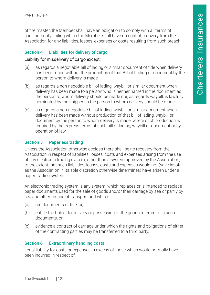<span id="page-12-0"></span>of the master, the Member shall have an obligation to comply with all terms of such authority, failing which the Member shall have no right of recovery from the Association for any liabilities, losses, expenses or costs resulting from such breach.

#### Section 4 Liabilities for delivery of cargo

Liability for misdelivery of cargo except:

- (a) as regards a negotiable bill of lading or similar document of title when delivery has been made without the production of that Bill of Lading or document by the person to whom delivery is made,
- (b) as regards a non-negotiable bill of lading, waybill or similar document when delivery has been made to a person who is neither named in the document as the person to whom delivery should be made nor, as regards waybill, is lawfully nominated by the shipper as the person to whom delivery should be made,
- (c) as regards a non-negotiable bill of lading, waybill or similar document when delivery has been made without production of that bill of lading, waybill or document by the person to whom delivery is made, where such production is required by the express terms of such bill of lading, waybill or document or by operation of law.

#### Section 5 Paperless trading

Unless the Association otherwise decides there shall be no recovery from the Association in respect of liabilities, losses, costs and expenses arising from the use of any electronic trading system, other than a system approved by the Association, to the extent that such liabilities, losses, costs and expenses would not (save insofar as the Association in its sole discretion otherwise determines) have arisen under a paper trading system.

An electronic trading system is any system, which replaces or is intended to replace paper documents used for the sale of goods and/or their carriage by sea or partly by sea and other means of transport and which:

- (a) are documents of title, or,
- (b) entitle the holder to delivery or possession of the goods referred to in such documents, or,
- (c) evidence a contract of carriage under which the rights and obligations of either of the contracting parties may be transferred to a third party.

#### Section 6 Extraordinary handling costs

Legal liability for costs or expenses in excess of those which would normally have been incurred in respect of: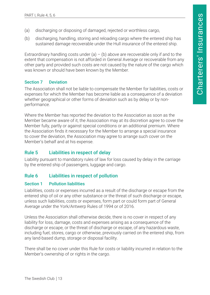- <span id="page-13-0"></span>(a) discharging or disposing of damaged, rejected or worthless cargo,
- (b) discharging, handling, storing and reloading cargo where the entered ship has sustained damage recoverable under the Hull insurance of the entered ship.

Extraordinary handling costs under (a) – (b) above are recoverable only if and to the extent that compensation is not afforded in General Average or recoverable from any other party and provided such costs are not caused by the nature of the cargo which was known or should have been known by the Member.

#### Section 7 Deviation

The Association shall not be liable to compensate the Member for liabilities, costs or expenses for which the Member has become liable as a consequence of a deviation whether geographical or other forms of deviation such as by delay or by nonperformance.

Where the Member has reported the deviation to the Association as soon as the Member became aware of it, the Association may at its discretion agree to cover the Member fully, partly or against special conditions or an additional premium. Where the Association finds it necessary for the Member to arrange a special insurance to cover the deviation, the Association may agree to arrange such cover on the Member's behalf and at his expense.

#### Rule 5 Liabilities in respect of delay

Liability pursuant to mandatory rules of law for loss caused by delay in the carriage by the entered ship of passengers, luggage and cargo.

#### Rule 6 Liabilities in respect of pollution

#### Section 1 Pollution liabilities

Liabilities, costs or expenses incurred as a result of the discharge or escape from the entered ship of oil or any other substance or the threat of such discharge or escape, unless such liabilities, costs or expenses, form part or could form part of General Average under the York/Antwerp Rules of 1994 or of 2016.

Unless the Association shall otherwise decide, there is no cover in respect of any liability for loss, damage, costs and expenses arising as a consequence of the discharge or escape, or the threat of discharge or escape, of any hazardous waste, including fuel, stores, cargo or otherwise, previously carried on the entered ship, from any land-based dump, storage or disposal facility.

There shall be no cover under this Rule for costs or liability incurred in relation to the Member's ownership of or rights in the cargo.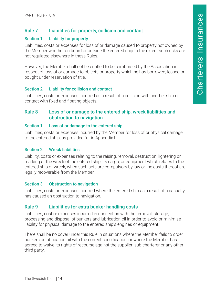#### <span id="page-14-0"></span>Rule 7 Liabilities for property, collision and contact

#### Section 1 Liability for property

Liabilities, costs or expenses for loss of or damage caused to property not owned by the Member whether on board or outside the entered ship to the extent such risks are not regulated elsewhere in these Rules.

However, the Member shall not be entitled to be reimbursed by the Association in respect of loss of or damage to objects or property which he has borrowed, leased or bought under reservation of title.

#### Section 2 Liability for collision and contact

Liabilities, costs or expenses incurred as a result of a collision with another ship or contact with fixed and floating objects.

#### Rule 8 Loss of or damage to the entered ship, wreck liabilities and obstruction to navigation

#### Section 1 Loss of or damage to the entered ship

Liabilities, costs or expenses incurred by the Member for loss of or physical damage to the entered ship, as provided for in Appendix I.

#### Section 2 Wreck liabilities

Liability, costs or expenses relating to the raising, removal, destruction, lightering or marking of the wreck of the entered ship, its cargo, or equipment which relates to the entered ship or wreck, when such acts are compulsory by law or the costs thereof are legally recoverable from the Member.

#### Section 3 Obstruction to navigation

Liabilities, costs or expenses incurred where the entered ship as a result of a casualty has caused an obstruction to navigation.

#### Rule 9 Liabilities for extra bunker handling costs

Liabilities, cost or expenses incurred in connection with the removal, storage, processing and disposal of bunkers and lubrication oil in order to avoid or minimise liability for physical damage to the entered ship's engines or equipment.

There shall be no cover under this Rule in situations where the Member fails to order bunkers or lubrication oil with the correct specification, or where the Member has agreed to waive its rights of recourse against the supplier, sub-charterer or any other third party.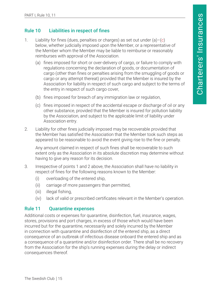# <span id="page-15-0"></span>Rule 10 Liabilities in respect of fines

- 1. Liability for fines (dues, penalties or charges) as set out under  $(a)$ – $(c)$ below, whether judicially imposed upon the Member, or a representative of the Member whom the Member may be liable to reimburse or reasonably reimburses with approval of the Association.
	- (a) fines imposed for short or over-delivery of cargo, or failure to comply with regulations concerning the declaration of goods, or documentation of cargo (other than fines or penalties arising from the smuggling of goods or cargo or any attempt thereat) provided that the Member is insured by the Association for liability in respect of such cargo and subject to the terms of the entry in respect of such cargo cover,
	- (b) fines imposed for breach of any immigration law or regulation,
	- (c) fines imposed in respect of the accidental escape or discharge of oil or any other substance, provided that the Member is insured for pollution liability by the Association, and subject to the applicable limit of liability under Association entry.
- 2. Liability for other fines judicially imposed may be recoverable provided that the Member has satisfied the Association that the Member took such steps as appeared to be reasonable to avoid the event giving rise to the fine or penalty.

Any amount claimed in respect of such fines shall be recoverable to such extent only as the Association in its absolute discretion may determine without having to give any reason for its decision.

- 3. Irrespective of points 1 and 2 above, the Association shall have no liability in respect of fines for the following reasons known to the Member:
	- (i) overloading of the entered ship,
	- (ii) carriage of more passengers than permitted,
	- (iii) illegal fishing,
	- (iv) lack of valid or prescribed certificates relevant in the Member's operation.

# Rule 11 Quarantine expenses

Additional costs or expenses for quarantine, disinfection, fuel, insurance, wages, stores, provisions and port charges, in excess of those which would have been incurred but for the quarantine, necessarily and solely incurred by the Member in connection with quarantine and disinfection of the entered ship, as a direct consequence of an outbreak of infectious disease onboard the entered ship and as a consequence of a quarantine and/or disinfection order. There shall be no recovery from the Association for the ship's running expenses during the delay or indirect consequences thereof.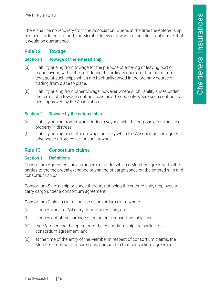<span id="page-16-0"></span>There shall be no recovery from the Association, where, at the time the entered ship has been ordered to a port, the Member knew or it was reasonable to anticipate, that it would be quarantined.

#### Rule 12 Towage

#### Section 1 Towage of the entered ship

- (a) Liability arising from towage for the purpose of entering or leaving port or manoeuvring within the port during the ordinary course of trading or from towage of such ships which are habitually towed in the ordinary course of trading from place to place,
- (b) Liability arising from other towage, however where such liability arises under the terms of a towage contract, cover is afforded only where such contract has been approved by the Association.

#### Section 2 Towage by the entered ship

- (a) Liability arising from towage during a voyage with the purpose of saving life or property in distress,
- (b) Liability arising from other towage but only when the Association has agreed in advance to afford cover for such towage.

#### Rule 13 Consortium claims

#### Section 1 Definitions

Consortium Agreement: any arrangement under which a Member agrees with other parties to the reciprocal exchange or sharing of cargo space on the entered ship and consortium ships.

Consortium Ship: a ship or space thereon, not being the entered ship, employed to carry cargo under a consortium agreement.

Consortium Claim: a claim shall be a consortium claim where:

- (a) it arises under a P&I entry of an insured ship; and
- (b) it arises out of the carriage of cargo on a consortium ship; and
- (c) the Member and the operator of the consortium ship are parties to a consortium agreement; and
- (d) at the time of the entry of the Member in respect of consortium claims, the Member employs an insured ship pursuant to that consortium agreement.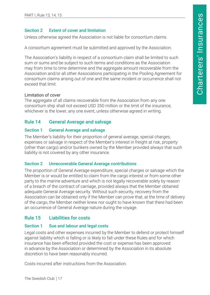#### <span id="page-17-0"></span>Section 2 Extent of cover and limitation

Unless otherwise agreed the Association is not liable for consortium claims.

A consortium agreement must be submitted and approved by the Association.

The Association's liability in respect of a consortium claim shall be limited to such sum or sums and be subject to such terms and conditions as the Association may from time to time determine and the aggregate amount recoverable from the Association and/or all other Associations participating in the Pooling Agreement for consortium claims arising out of one and the same incident or occurrence shall not exceed that limit.

#### Limitation of cover

The aggregate of all claims recoverable from the Association from any one consortium ship shall not exceed USD 350 million or the limit of the insurance, whichever is the lower, any one event, unless otherwise agreed in writing.

#### Rule 14 General Average and salvage

#### Section 1 General Average and salvage

The Member's liability for their proportion of general average, special charges, expenses or salvage in respect of the Member's interest in freight at risk, property (other than cargo) and/or bunkers owned by the Member provided always that such liability is not covered by any other insurance.

#### Section 2 Unrecoverable General Average contributions

The proportion of General Average expenditure, special charges or salvage which the Member is or would be entitled to claim from the cargo interest or from some other party to the marine adventure and which is not legally recoverable solely by reason of a breach of the contract of carriage, provided always that the Member obtained adequate General Average security. Without such security, recovery from the Association can be obtained only if the Member can prove that, at the time of delivery of the cargo, the Member neither knew nor ought to have known that there had been an occurrence of General Average nature during the voyage.

# Rule 15 Liabilities for costs

#### Section 1 Sue and labour and legal costs

Legal costs and other expenses incurred by the Member to defend or protect himself against liability which is falling or is likely to fall under these Rules and for which insurance has been effected provided the cost or expense has been approved in advance by the Association or determined by the Association in its absolute discretion to have been reasonably incurred.

Costs incurred after instructions from the Association.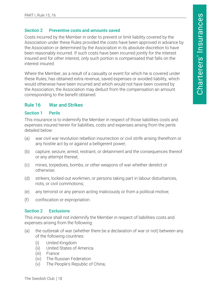#### <span id="page-18-0"></span>Section 2 Preventive costs and amounts saved

Costs incurred by the Member in order to prevent or limit liability covered by the Association under these Rules provided the costs have been approved in advance by the Association or determined by the Association in its absolute discretion to have been reasonably incurred. If such costs have been incurred jointly for the interest insured and for other interest, only such portion is compensated that falls on the interest insured.

Where the Member, as a result of a casualty or event for which he is covered under these Rules, has obtained extra revenue, saved expenses or avoided liability, which would otherwise have been incurred and which would not have been covered by the Association, the Association may deduct from the compensation an amount corresponding to the benefit obtained.

#### Rule 16 War and Strikes

#### Section 1 Perils

This insurance is to indemnify the Member in respect of those liabilities costs and expenses insured herein for liabilities, costs and expenses arising from the perils detailed below:

- (a) war civil war revolution rebellion insurrection or civil strife arising therefrom or any hostile act by or against a belligerent power;
- (b) capture, seizure, arrest, restraint, or detainment and the consequences thereof or any attempt thereat;
- (c) mines, torpedoes, bombs, or other weapons of war whether derelict or otherwise;
- (d) strikers, locked-out workmen, or persons taking part in labour disturbances, riots, or civil commotions;
- (e) any terrorist or any person acting maliciously or from a political motive;
- (f) confiscation or expropriation.

#### Section 2 **Exclusions**

This insurance shall not indemnify the Member in respect of liabilities costs and expenses arising from the following:

- (a) the outbreak of war (whether there be a declaration of war or not) between any of the following countries:
	- (i) United Kingdom
	- (ii) United States of America
	- (iii) France
	- (iv) The Russian Federation
	- (v) The People's Republic of China;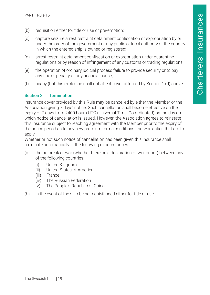- <span id="page-19-0"></span>(b) requisition either for title or use or pre-emption;
- (c) capture seizure arrest restraint detainment confiscation or expropriation by or under the order of the government or any public or local authority of the country in which the entered ship is owned or registered;
- (d) arrest restraint detainment confiscation or expropriation under quarantine regulations or by reason of infringement of any customs or trading regulations;
- (e) the operation of ordinary judicial process failure to provide security or to pay any fine or penalty or any financial cause;
- (f) piracy (but this exclusion shall not affect cover afforded by Section 1 (d) above.

#### Section 3 Termination

Insurance cover provided by this Rule may be cancelled by either the Member or the Association giving 7 days' notice. Such cancellation shall become effective on the expiry of 7 days from 2400 hours UTC (Universal Time, Co-ordinated) on the day on which notice of cancellation is issued. However, the Association agrees to reinstate this insurance subject to reaching agreement with the Member prior to the expiry of the notice period as to any new premium terms conditions and warranties that are to apply.

Whether or not such notice of cancellation has been given this insurance shall terminate automatically in the following circumstances:

- (a) the outbreak of war (whether there be a declaration of war or not) between any of the following countries:
	- (i) United Kingdom
	- (ii) United States of America
	- (iii) France
	- (iv) The Russian Federation
	- (v) The People's Republic of China;
- (b) in the event of the ship being requisitioned either for title or use.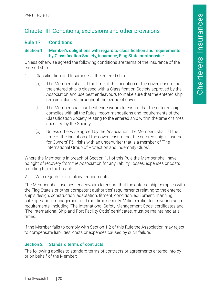# <span id="page-20-0"></span>Chapter III Conditions, exclusions and other provisions

#### Rule 17 Conditions

#### Section 1 Member's obligations with regard to classification and requirements by Classification Society, insurance, Flag State or otherwise.

Unless otherwise agreed the following conditions are terms of the insurance of the entered ship:

- 1. Classification and Insurance of the entered ship:
	- (a) The Members shall, at the time of the inception of the cover, ensure that the entered ship is classed with a Classification Society approved by the Association and use best endeavours to make sure that the entered ship remains classed throughout the period of cover.
	- (b) The Member shall use best endeavours to ensure that the entered ship complies with all the Rules, recommendations and requirements of the Classification Society relating to the entered ship within the time or times specified by the Society.
	- (c) Unless otherwise agreed by the Association, the Members shall, at the time of the inception of the cover, ensure that the entered ship is insured for Owners' P&I risks with an underwriter that is a member of 'The International Group of Protection and Indemnity Clubs'.

Where the Member is in breach of Section 1.1 of this Rule the Member shall have no right of recovery from the Association for any liability, losses, expenses or costs resulting from the breach.

2. With regards to statutory requirements:

The Member shall use best endeavours to ensure that the entered ship complies with the Flag State's or other competent authorities' requirements relating to the entered ship's design, construction, adaptation, fitment, condition, equipment, manning, safe operation, management and maritime security. Valid certificates covering such requirements, including 'The International Safety Management Code' certificates and 'The International Ship and Port Facility Code' certificates, must be maintained at all times.

If the Member fails to comply with Section 1.2 of this Rule the Association may reject to compensate liabilities, costs or expenses caused by such failure.

#### Section 2 Standard terms of contracts

The following applies to standard terms of contracts or agreements entered into by or on behalf of the Member: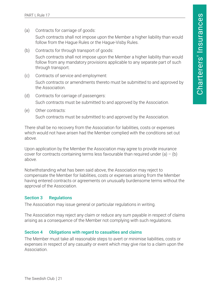<span id="page-21-0"></span>(a) Contracts for carriage of goods:

Such contracts shall not impose upon the Member a higher liability than would follow from the Hague Rules or the Hague-Visby Rules.

- (b) Contracts for through transport of goods: Such contracts shall not impose upon the Member a higher liability than would follow from any mandatory provisions applicable to any separate part of such through transport.
- (c) Contracts of service and employment: Such contracts or amendments thereto must be submitted to and approved by the Association.
- (d) Contracts for carriage of passengers: Such contracts must be submitted to and approved by the Association.
- (e) Other contracts:

Such contracts must be submitted to and approved by the Association.

There shall be no recovery from the Association for liabilities, costs or expenses which would not have arisen had the Member complied with the conditions set out above.

Upon application by the Member the Association may agree to provide insurance cover for contracts containing terms less favourable than required under (a)  $-$  (b) above.

Notwithstanding what has been said above, the Association may reject to compensate the Member for liabilities, costs or expenses arising from the Member having entered contracts or agreements on unusually burdensome terms without the approval of the Association.

#### Section 3 Regulations

The Association may issue general or particular regulations in writing.

The Association may reject any claim or reduce any sum payable in respect of claims arising as a consequence of the Member not complying with such regulations.

#### Section 4 Obligations with regard to casualties and claims

The Member must take all reasonable steps to avert or minimise liabilities, costs or expenses in respect of any casualty or event which may give rise to a claim upon the Association.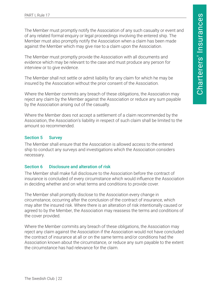<span id="page-22-0"></span>The Member must promptly notify the Association of any such casualty or event and of any related formal enquiry or legal proceedings involving the entered ship. The Member must also promptly notify the Association when a claim has been made against the Member which may give rise to a claim upon the Association.

The Member must promptly provide the Association with all documents and evidence which may be relevant to the case and must produce any person for interview or to give evidence.

The Member shall not settle or admit liability for any claim for which he may be insured by the Association without the prior consent of the Association.

Where the Member commits any breach of these obligations, the Association may reject any claim by the Member against the Association or reduce any sum payable by the Association arising out of the casualty.

Where the Member does not accept a settlement of a claim recommended by the Association, the Association's liability in respect of such claim shall be limited to the amount so recommended.

#### Section 5 Survey

The Member shall ensure that the Association is allowed access to the entered ship to conduct any surveys and investigations which the Association considers necessary.

#### Section 6 Disclosure and alteration of risk

The Member shall make full disclosure to the Association before the contract of insurance is concluded of every circumstance which would influence the Association in deciding whether and on what terms and conditions to provide cover.

The Member shall promptly disclose to the Association every change in circumstance, occurring after the conclusion of the contract of insurance, which may alter the insured risk. Where there is an alteration of risk intentionally caused or agreed to by the Member, the Association may reassess the terms and conditions of the cover provided.

Where the Member commits any breach of these obligations, the Association may reject any claim against the Association if the Association would not have concluded the contract of insurance at all or on the same terms and/or conditions had the Association known about the circumstance, or reduce any sum payable to the extent the circumstance has had relevance for the claim.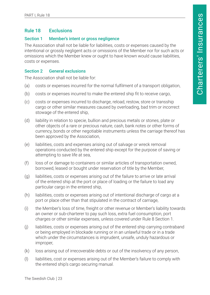#### <span id="page-23-0"></span>Rule 18 Exclusions

#### Section 1 Member's intent or gross negligence

The Association shall not be liable for liabilities, costs or expenses caused by the intentional or grossly negligent acts or omissions of the Member nor for such acts or omissions which the Member knew or ought to have known would cause liabilities, costs or expenses.

#### Section 2 General exclusions

The Association shall not be liable for:

- (a) costs or expenses incurred for the normal fulfilment of a transport obligation,
- (b) costs or expenses incurred to make the entered ship fit to receive cargo,
- (c) costs or expenses incurred to discharge, reload, restow, store or transship cargo or other similar measures caused by overloading, bad trim or incorrect stowage of the entered ship,
- (d) liability in relation to specie, bullion and precious metals or stones, plate or other objects of a rare or precious nature, cash, bank notes or other forms of currency, bonds or other negotiable instruments unless the carriage thereof has been approved by the Association,
- (e) liabilities, costs and expenses arising out of salvage or wreck removal operations conducted by the entered ship except for the purpose of saving or attempting to save life at sea,
- (f) loss of or damage to containers or similar articles of transportation owned, borrowed, leased or bought under reservation of title by the Member,
- (g) liabilities, costs or expenses arising out of the failure to arrive or late arrival of the entered ship at the port or place of loading or the failure to load any particular cargo in the entered ship,
- (h) liabilities, costs or expenses arising out of intentional discharge of cargo at a port or place other than that stipulated in the contract of carriage,
- (i) the Member's loss of time, freight or other revenue or Member's liability towards an owner or sub-charterer to pay such loss, extra fuel consumption, port charges or other similar expenses, unless covered under Rule 8 Section 1.
- (j) liabilities, costs or expenses arising out of the entered ship carrying contraband or being employed in blockade running or in an unlawful trade or in a trade which under the circumstances is imprudent, unsafe, unduly hazardous or improper,
- (k) loss arising out of irrecoverable debts or out of the insolvency of any person,
- (l) liabilities, cost or expenses arising out of the Member's failure to comply with the entered ship's cargo securing manual.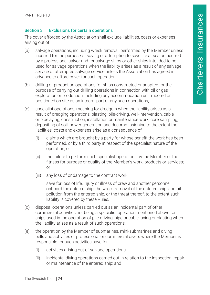#### <span id="page-24-0"></span>Section 3 Exclusions for certain operations

The cover afforded by the Association shall exclude liabilities, costs or expenses arising out of

- (a) salvage operations, including wreck removal, performed by the Member unless incurred for the purpose of saving or attempting to save life at sea or incurred by a professional salvor and for salvage ships or other ships intended to be used for salvage operations when the liability arises as a result of any salvage service or attempted salvage service unless the Association has agreed in advance to afford cover for such operation,
- (b) drilling or production operations for ships constructed or adapted for the purpose of carrying out drilling operations in connection with oil or gas exploration or production, including any accommodation unit moored or positioned on site as an integral part of any such operations,
- (c) specialist operations, meaning for dredgers when the liability arises as a result of dredging operations, blasting, pile-driving, well-intervention, cable or pipelaying, construction, installation or maintenance work, core sampling, depositing of soil, power generation and decommissioning to the extent the liabilities, costs and expenses arise as a consequence of
	- (i) claims which are brought by a party for whose benefit the work has been performed, or by a third party in respect of the specialist nature of the operation; or
	- (ii) the failure to perform such specialist operations by the Member or the fitness for purpose or quality of the Member's work, products or services; or
	- (iii) any loss of or damage to the contract work

save for loss of life, injury or illness of crew and another personnel onboard the entered ship, the wreck removal of the entered ship, and oil pollution from the entered ship, or the threat thereof, to the extent such liability is covered by these Rules,

- (d) disposal operations unless carried out as an incidental part of other commercial activities not being a specialist operation mentioned above for ships used in the operation of pile-driving, pipe or cable laying or blasting when the liability arises as a result of such operations,
- (e) the operation by the Member of submarines, mini-submarines and diving bells and activities of professional or commercial divers where the Member is responsible for such activities save for
	- (i) activities arising out of salvage operations
	- (ii) incidental diving operations carried out in relation to the inspection, repair or maintenance of the entered ship; and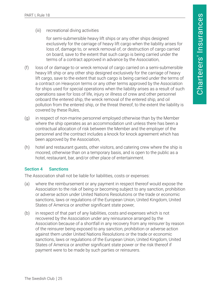<span id="page-25-0"></span>(iii) recreational diving activities

for semi-submersible heavy lift ships or any other ships designed exclusively for the carriage of heavy lift cargo when the liability arises for loss of, damage to, or wreck removal of, or destruction of cargo carried on board, save to the extent that such cargo is being carried under the terms of a contract approved in advance by the Association,

- (f) loss of or damage to or wreck removal of cargo carried on a semi-submersible heavy lift ship or any other ship designed exclusively for the carriage of heavy lift cargo, save to the extent that such cargo is being carried under the terms of a contract on Heavycon terms or any other terms approved by the Association for ships used for special operations when the liability arises as a result of such operations save for loss of life, injury or illness of crew and other personnel onboard the entered ship, the wreck removal of the entered ship, and oil pollution from the entered ship, or the threat thereof, to the extent the liability is covered by these Rules,
- (g) in respect of non-marine personnel employed otherwise than by the Member where the ship operates as an accommodation unit unless there has been a contractual allocation of risk between the Member and the employer of the personnel and the contract includes a knock for knock agreement which has been approved by the Association,
- (h) hotel and restaurant guests, other visitors, and catering crew where the ship is moored, otherwise than on a temporary basis, and is open to the public as a hotel, restaurant, bar, and/or other place of entertainment.

#### Section 4 Sanctions

The Association shall not be liable for liabilities, costs or expenses:

- (a) where the reimbursement or any payment in respect thereof would expose the Association to the risk of being or becoming subject to any sanction, prohibition or adverse action under United Nations Resolutions or the trade or economic sanctions, laws or regulations of the European Union, United Kingdom, United States of America or another significant state power,
- (b) in respect of that part of any liabilities, costs and expenses which is not recovered by the Association under any reinsurance arranged by the Association because of a shortfall in any recovery from any reinsurer by reason of the reinsurer being exposed to any sanction, prohibition or adverse action against them under United Nations Resolutions or the trade or economic sanctions, laws or regulations of the European Union, United Kingdom, United States of America or another significant state power or the risk thereof if payment were to be made by such parties or reinsurers.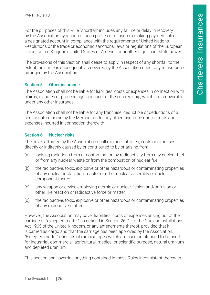<span id="page-26-0"></span>For the purposes of this Rule "shortfall" includes any failure or delay in recovery by the Association by reason of such parties or reinsurers making payment into a designated account in compliance with the requirements of United Nations Resolutions or the trade or economic sanctions, laws or regulations of the European Union, United Kingdom, United States of America or another significant state power.

The provisions of this Section shall cease to apply in respect of any shortfall to the extent the same is subsequently recovered by the Association under any reinsurance arranged by the Association.

#### Section 5 Other insurance

The Association shall not be liable for liabilities, costs or expenses in connection with claims, disputes or proceedings in respect of the entered ship, which are recoverable under any other insurance.

The Association shall not be liable for any franchise, deductible or deductions of a similar nature borne by the Member under any other insurance nor for costs and expenses incurred in connection therewith.

#### Section 6 Nuclear risks

The cover afforded by the Association shall exclude liabilities, costs or expenses directly or indirectly caused by or contributed to by or arising from:

- (a) ionising radiations from or contamination by radioactivity from any nuclear fuel or from any nuclear waste or from the combustion of nuclear fuel,
- (b) the radioactive, toxic, explosive or other hazardous or contaminating properties of any nuclear installation, reactor or other nuclear assembly or nuclear component thereof,
- (c) any weapon or device employing atomic or nuclear fission and/or fusion or other like reaction or radioactive force or matter,
- (d) the radioactive, toxic, explosive or other hazardous or contaminating properties of any radioactive matter.

However, the Association may cover liabilities, costs or expenses arising out of the carriage of "excepted matter" as defined in Section 26 (1) of the Nuclear Installations Act 1965 of the United Kingdom, or any amendments thereof, provided that it is carried as cargo and that the carriage has been approved by the Association. "Excepted matter" consists of radioisotopes which are used or intended to be used for industrial, commercial, agricultural, medical or scientific purpose, natural uranium and depleted uranium.

This section shall override anything contained in these Rules inconsistent therewith.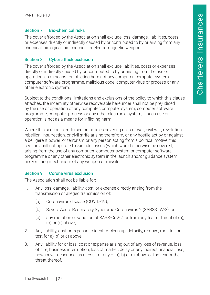#### <span id="page-27-0"></span>Section 7 Bio-chemical risks

The cover afforded by the Association shall exclude loss, damage, liabilities, costs or expenses directly or indirectly caused by or contributed to by or arising from any chemical, biological, bio-chemical or electromagnetic weapon.

#### Section 8 Cyber attack exclusion

The cover afforded by the Association shall exclude liabilities, costs or expenses directly or indirectly caused by or contributed to by or arising from the use or operation, as a means for inflicting harm, of any computer, computer system, computer software programme, malicious code, computer virus or process or any other electronic system.

Subject to the conditions, limitations and exclusions of the policy to which this clause attaches, the indemnity otherwise recoverable hereunder shall not be prejudiced by the use or operation of any computer, computer system, computer software programme, computer process or any other electronic system, if such use or operation is not as a means for inflicting harm.

Where this section is endorsed on policies covering risks of war, civil war, revolution, rebellion, insurrection, or civil strife arising therefrom, or any hostile act by or against a belligerent power, or terrorism or any person acting from a political motive, this section shall not operate to exclude losses (which would otherwise be covered) arising from the use of any computer, computer system or computer software programme or any other electronic system in the launch and/or guidance system and/or firing mechanism of any weapon or missile.

#### Section 9 Corona virus exclusion

The Association shall not be liable for:

- 1. Any loss, damage, liability, cost, or expense directly arising from the transmission or alleged transmission of:
	- (a) Coronavirus disease (COVID-19);
	- (b) Severe Acute Respiratory Syndrome Coronavirus 2 (SARS-CoV-2); or
	- (c) any mutation or variation of SARS-CoV-2; or from any fear or threat of (a), (b) or (c) above;
- 2. Any liability, cost or expense to identify, clean up, detoxify, remove, monitor, or test for a), b) or c) above;
- 3. Any liability for or loss, cost or expense arising out of any loss of revenue, loss of hire, business interruption, loss of market, delay or any indirect financial loss, howsoever described, as a result of any of a), b) or c) above or the fear or the threat thereof.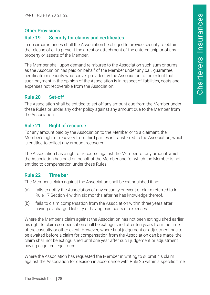#### <span id="page-28-0"></span>Other Provisions

#### Rule 19 Security for claims and certificates

In no circumstances shall the Association be obliged to provide security to obtain the release of or to prevent the arrest or attachment of the entered ship or of any property or assets of the Member.

The Member shall upon demand reimburse to the Association such sum or sums as the Association has paid on behalf of the Member under any bail, guarantee, certificate or security whatsoever provided by the Association to the extent that such payment in the opinion of the Association is in respect of liabilities, costs and expenses not recoverable from the Association.

# Rule 20 Set-off

The Association shall be entitled to set off any amount due from the Member under these Rules or under any other policy against any amount due to the Member from the Association.

#### Rule 21 Right of recourse

For any amount paid by the Association to the Member or to a claimant, the Member's right of recovery from third parties is transferred to the Association, which is entitled to collect any amount recovered.

The Association has a right of recourse against the Member for any amount which the Association has paid on behalf of the Member and for which the Member is not entitled to compensation under these Rules.

# Rule 22 Time bar

The Member's claim against the Association shall be extinguished if he:

- (a) fails to notify the Association of any casualty or event or claim referred to in Rule 17 Section 4 within six months after he has knowledge thereof,
- (b) fails to claim compensation from the Association within three years after having discharged liability or having paid costs or expenses.

Where the Member's claim against the Association has not been extinguished earlier, his right to claim compensation shall be extinguished after ten years from the time of the casualty or other event. However, where final judgement or adjustment has to be awaited before a claim for compensation from the Association can be made, the claim shall not be extinguished until one year after such judgement or adjustment having acquired legal force.

Where the Association has requested the Member in writing to submit his claim against the Association for decision in accordance with Rule 25 within a specific time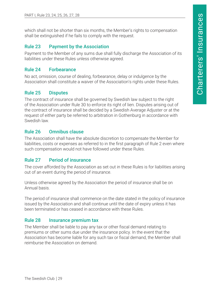<span id="page-29-0"></span>which shall not be shorter than six months, the Member's rights to compensation shall be extinguished if he fails to comply with the request.

#### Rule 23 Payment by the Association

Payment to the Member of any sums due shall fully discharge the Association of its liabilities under these Rules unless otherwise agreed.

#### Rule 24 Forbearance

No act, omission, course of dealing, forbearance, delay or indulgence by the Association shall constitute a waiver of the Association's rights under these Rules.

#### Rule 25 Disputes

The contract of insurance shall be governed by Swedish law subject to the right of the Association under Rule 30 to enforce its right of lien. Disputes arising out of the contract of insurance shall be decided by a Swedish Average Adjuster or at the request of either party be referred to arbitration in Gothenburg in accordance with Swedish law.

#### Rule 26 Omnibus clause

The Association shall have the absolute discretion to compensate the Member for liabilities, costs or expenses as referred to in the first paragraph of Rule 2 even where such compensation would not have followed under these Rules.

#### Rule 27 Period of insurance

The cover afforded by the Association as set out in these Rules is for liabilities arising out of an event during the period of insurance.

Unless otherwise agreed by the Association the period of insurance shall be on Annual basis.

The period of insurance shall commence on the date stated in the policy of insurance issued by the Association and shall continue until the date of expiry unless it has been terminated or has ceased in accordance with these Rules.

#### Rule 28 Insurance premium tax

The Member shall be liable to pay any tax or other fiscal demand relating to premiums or other sums due under the insurance policy. In the event that the Association has become liable for any such tax or fiscal demand, the Member shall reimburse the Association on demand.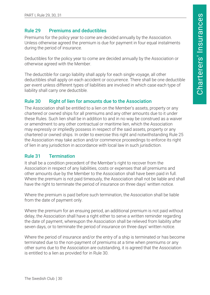#### <span id="page-30-0"></span>Rule 29 Premiums and deductibles

Premiums for the policy year to come are decided annually by the Association. Unless otherwise agreed the premium is due for payment in four equal instalments during the period of insurance.

Deductibles for the policy year to come are decided annually by the Association or otherwise agreed with the Member.

The deductible for cargo liability shall apply for each single voyage, all other deductibles shall apply on each accident or occurrence. There shall be one deductible per event unless different types of liabilities are involved in which case each type of liability shall carry one deductible.

#### Rule 30 Right of lien for amounts due to the Association

The Association shall be entitled to a lien on the Member's assets, property or any chartered or owned ships for all premiums and any other amounts due to it under these Rules. Such lien shall be in addition to and in no way be construed as a waiver or amendment to any other contractual or maritime lien, which the Association may expressly or impliedly possess in respect of the said assets, property or any chartered or owned ships. In order to exercise this right and notwithstanding Rule 25 the Association may take action and/or commence proceedings to enforce its right of lien in any jurisdiction in accordance with local law in such jurisdiction.

# Rule 31 Termination

It shall be a condition precedent of the Member's right to recover from the Association in respect of any liabilities, costs or expenses that all premiums and other amounts due by the Member to the Association shall have been paid in full. Where the premium is not paid timeously, the Association shall not be liable and shall have the right to terminate the period of insurance on three days' written notice.

Where the premium is paid before such termination, the Association shall be liable from the date of payment only.

Where the premium for an ensuing period, an additional premium is not paid without delay, the Association shall have a right either to serve a written reminder regarding the date of payment, whereupon the Association shall be relieved from liability after seven days, or to terminate the period of insurance on three days' written notice.

Where the period of insurance and/or the entry of a ship is terminated or has become terminated due to the non-payment of premiums at a time when premiums or any other sums due to the Association are outstanding, it is agreed that the Association is entitled to a lien as provided for in Rule 30.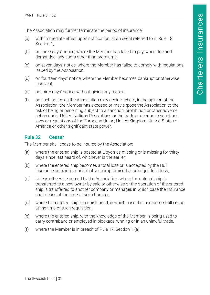<span id="page-31-0"></span>The Association may further terminate the period of insurance:

- (a) with immediate effect upon notification, at an event referred to in Rule 18 Section 1,
- (b) on three days' notice, where the Member has failed to pay, when due and demanded, any sums other than premiums,
- (c) on seven days' notice, where the Member has failed to comply with regulations issued by the Association,
- (d) on fourteen days' notice, where the Member becomes bankrupt or otherwise insolvent,
- (e) on thirty days' notice, without giving any reason.
- (f) on such notice as the Association may decide, where, in the opinion of the Association, the Member has exposed or may expose the Association to the risk of being or becoming subject to a sanction, prohibition or other adverse action under United Nations Resolutions or the trade or economic sanctions, laws or regulations of the European Union, United Kingdom, United States of America or other significant state power.

#### Rule 32 Cesser

The Member shall cease to be insured by the Association:

- (a) where the entered ship is posted at Lloyd's as missing or is missing for thirty days since last heard of, whichever is the earlier,
- (b) where the entered ship becomes a total loss or is accepted by the Hull insurance as being a constructive, compromised or arranged total loss,
- (c) Unless otherwise agreed by the Association, where the entered ship is transferred to a new owner by sale or otherwise or the operation of the entered ship is transferred to another company or manager, in which case the insurance shall cease at the time of such transfer,
- (d) where the entered ship is requisitioned, in which case the insurance shall cease at the time of such requisition,
- (e) where the entered ship, with the knowledge of the Member, is being used to carry contraband or employed in blockade running or in an unlawful trade,
- (f) where the Member is in breach of Rule 17, Section 1 (a).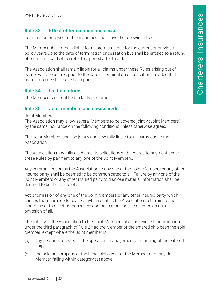#### <span id="page-32-0"></span>Rule 33 Effect of termination and cesser

Termination or cesser of the insurance shall have the following effect:

The Member shall remain liable for all premiums due for the current or previous policy years up to the date of termination or cessation but shall be entitled to a refund of premiums paid which refer to a period after that date.

The Association shall remain liable for all claims under these Rules arising out of events which occurred prior to the date of termination or cessation provided that premiums due shall have been paid.

#### Rule 34 Laid-up returns

The Member is not entitled to laid-up returns.

#### Rule 35 Joint members and co-assureds

#### Joint Members

The Association may allow several Members to be covered jointly (Joint Members) by the same insurance on the following conditions unless otherwise agreed.

The Joint Members shall be jointly and severally liable for all sums due to the Association.

The Association may fully discharge its obligations with regards to payment under these Rules by payment to any one of the Joint Members.

Any communication by the Association to any one of the Joint Members or any other insured party shall be deemed to be communicated to all. Failure by any one of the Joint Members or any other insured party to disclose material information shall be deemed to be the failure of all.

Act or omission of any one of the Joint Members or any other insured party which causes the insurance to cease or which entitles the Association to terminate the insurance or to reject or reduce any compensation shall be deemed an act or omission of all.

The liability of the Association to the Joint Members shall not exceed the limitation under the third paragraph of Rule 2 had the Member of the entered ship been the sole Member, except where the Joint member is:

- (a) any person interested in the operation, management or manning of the entered ship,
- (b) the holding company or the beneficial owner of the Member or of any Joint Member falling within category (a) above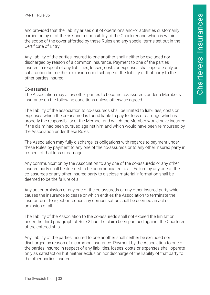and provided that the liability arises out of operations and/or activities customarily carried on by or at the risk and responsibility of the Charterer and which is within the scope of the cover afforded by these Rules and any special terms set out in the Certificate of Entry.

Any liability of the parties insured to one another shall neither be excluded nor discharged by reason of a common insurance. Payment to one of the parties insured in respect of any liabilities, losses, costs or expenses shall operate only as satisfaction but neither exclusion nor discharge of the liability of that party to the other parties insured.

#### Co-assureds

The Association may allow other parties to become co-assureds under a Member's insurance on the following conditions unless otherwise agreed.

The liability of the association to co-assureds shall be limited to liabilities, costs or expenses which the co-assured is found liable to pay for loss or damage which is properly the responsibility of the Member and which the Member would have incurred if the claim had been pursued against him and which would have been reimbursed by the Association under these Rules.

The Association may fully discharge its obligations with regards to payment under these Rules by payment to any one of the co-assureds or to any other insured party in respect of that loss or damage.

Any communication by the Association to any one of the co-assureds or any other insured party shall be deemed to be communicated to all. Failure by any one of the co-assureds or any other insured party to disclose material information shall be deemed to be the failure of all.

Any act or omission of any one of the co-assureds or any other insured party which causes the insurance to cease or which entitles the Association to terminate the insurance or to reject or reduce any compensation shall be deemed an act or omission of all.

The liability of the Association to the co-assureds shall not exceed the limitation under the third paragraph of Rule 2 had the claim been pursued against the Charterer of the entered ship.

Any liability of the parties insured to one another shall neither be excluded nor discharged by reason of a common insurance. Payment by the Association to one of the parties insured in respect of any liabilities, losses, costs or expenses shall operate only as satisfaction but neither exclusion nor discharge of the liability of that party to the other parties insured.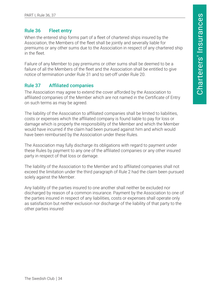#### <span id="page-34-0"></span>Rule 36 Fleet entry

When the entered ship forms part of a fleet of chartered ships insured by the Association, the Members of the fleet shall be jointly and severally liable for premiums or any other sums due to the Association in respect of any chartered ship in the fleet.

Failure of any Member to pay premiums or other sums shall be deemed to be a failure of all the Members of the fleet and the Association shall be entitled to give notice of termination under Rule 31 and to set-off under Rule 20.

# Rule 37 Affiliated companies

The Association may agree to extend the cover afforded by the Association to affiliated companies of the Member which are not named in the Certificate of Entry on such terms as may be agreed.

The liability of the Association to affiliated companies shall be limited to liabilities, costs or expenses which the affiliated company is found liable to pay for loss or damage which is properly the responsibility of the Member and which the Member would have incurred if the claim had been pursued against him and which would have been reimbursed by the Association under these Rules.

The Association may fully discharge its obligations with regard to payment under these Rules by payment to any one of the affiliated companies or any other insured party in respect of that loss or damage.

The liability of the Association to the Member and to affiliated companies shall not exceed the limitation under the third paragraph of Rule 2 had the claim been pursued solely against the Member.

Any liability of the parties insured to one another shall neither be excluded nor discharged by reason of a common insurance. Payment by the Association to one of the parties insured in respect of any liabilities, costs or expenses shall operate only as satisfaction but neither exclusion nor discharge of the liability of that party to the other parties insured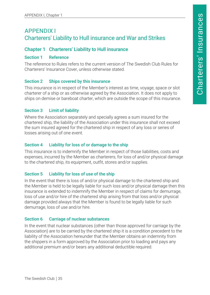# <span id="page-35-0"></span>APPENDIX I Charterers' Liability to Hull insurance and War and Strikes

#### Chapter 1 Charterers' Liability to Hull insurance

#### Section 1 Reference

The reference to Rules refers to the current version of The Swedish Club Rules for Charterers' Insurance Cover, unless otherwise stated.

#### Section 2 Ships covered by this insurance

This insurance is in respect of the Member's interest as time, voyage, space or slot charterer of a ship or as otherwise agreed by the Association. It does not apply to ships on demise or bareboat charter, which are outside the scope of this insurance.

#### Section 3 Limit of liability

Where the Association separately and specially agrees a sum insured for the chartered ship, the liability of the Association under this insurance shall not exceed the sum insured agreed for the chartered ship in respect of any loss or series of losses arising out of one event.

#### Section 4 Liability for loss of or damage to the ship

This insurance is to indemnify the Member in respect of those liabilities, costs and expenses, incurred by the Member as charterers, for loss of and/or physical damage to the chartered ship, its equipment, outfit, stores and/or supplies.

#### Section 5 Liability for loss of use of the ship

In the event that there is loss of and/or physical damage to the chartered ship and the Member is held to be legally liable for such loss and/or physical damage then this insurance is extended to indemnify the Member in respect of claims for demurrage, loss of use and/or hire of the chartered ship arising from that loss and/or physical damage provided always that the Member is found to be legally liable for such demurrage, loss of use and/or hire.

#### Section 6 Carriage of nuclear substances

In the event that nuclear substances (other than those approved for carriage by the Association) are to be carried by the chartered ship it is a condition precedent to the liability of the Association hereunder that the Member obtains an indemnity from the shippers in a form approved by the Association prior to loading and pays any additional premium and/or bears any additional deductible required.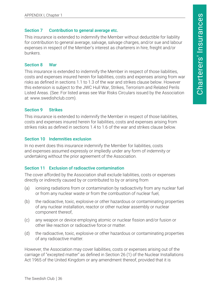#### <span id="page-36-0"></span>Section 7 Contribution to general average etc.

This insurance is extended to indemnify the Member without deductible for liability for contribution to general average, salvage, salvage charges, and/or sue and labour expenses in respect of the Member's interest as charterers in hire, freight and/or bunkers.

#### Section 8 War

This insurance is extended to indemnify the Member in respect of those liabilities, costs and expenses insured herein for liabilities, costs and expenses arising from war risks as defined in sections 1.1 to 1.3 of the war and strikes clause below. However this extension is subject to the JWC Hull War, Strikes, Terrorism and Related Perils Listed Areas. (See: For listed areas see War Risks Circulars issued by the Association at: www.swedishclub.com).

# Section 9 Strikes

This insurance is extended to indemnify the Member in respect of those liabilities, costs and expenses insured herein for liabilities, costs and expenses arising from strikes risks as defined in sections 1.4 to 1.6 of the war and strikes clause below.

# Section 10 Indemnities exclusion

In no event does this insurance indemnify the Member for liabilities, costs and expenses assumed expressly or impliedly under any form of indemnity or undertaking without the prior agreement of the Association.

# Section 11 Exclusion of radioactive contamination

The cover afforded by the Association shall exclude liabilities, costs or expenses directly or indirectly caused by or contributed to by or arising from

- (a) ionising radiations from or contamination by radioactivity from any nuclear fuel or from any nuclear waste or from the combustion of nuclear fuel,
- (b) the radioactive, toxic, explosive or other hazardous or contaminating properties of any nuclear installation, reactor or other nuclear assembly or nuclear component thereof,
- (c) any weapon or device employing atomic or nuclear fission and/or fusion or other like reaction or radioactive force or matter.
- (d) the radioactive, toxic, explosive or other hazardous or contaminating properties of any radioactive matter.

However, the Association may cover liabilities, costs or expenses arising out of the carriage of "excepted matter" as defined in Section 26 (1) of the Nuclear Installations Act 1965 of the United Kingdom or any amendment thereof, provided that it is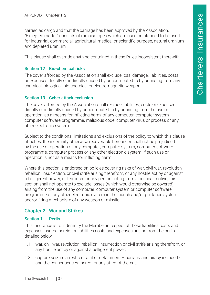<span id="page-37-0"></span>carried as cargo and that the carriage has been approved by the Association. "Excepted matter" consists of radioisotopes which are used or intended to be used for industrial, commercial, agricultural, medical or scientific purpose, natural uranium and depleted uranium.

This clause shall override anything contained in these Rules inconsistent therewith.

#### Section 12 Bio-chemical risks

The cover afforded by the Association shall exclude loss, damage, liabilities, costs or expenses directly or indirectly caused by or contributed to by or arising from any chemical, biological, bio-chemical or electromagnetic weapon.

#### Section 13 Cyber attack exclusion

The cover afforded by the Association shall exclude liabilities, costs or expenses directly or indirectly caused by or contributed to by or arising from the use or operation, as a means for inflicting harm, of any computer, computer system, computer software programme, malicious code, computer virus or process or any other electronic system.

Subject to the conditions, limitations and exclusions of the policy to which this clause attaches, the indemnity otherwise recoverable hereunder shall not be prejudiced by the use or operation of any computer, computer system, computer software programme, computer process or any other electronic system, if such use or operation is not as a means for inflicting harm.

Where this section is endorsed on policies covering risks of war, civil war, revolution, rebellion, insurrection, or civil strife arising therefrom, or any hostile act by or against a belligerent power, or terrorism or any person acting from a political motive, this section shall not operate to exclude losses (which would otherwise be covered) arising from the use of any computer, computer system or computer software programme or any other electronic system in the launch and/or guidance system and/or firing mechanism of any weapon or missile.

#### Chapter 2 War and Strikes

#### Section 1 Perils

This insurance is to indemnify the Member in respect of those liabilities costs and expenses insured herein for liabilities costs and expenses arising from the perils detailed below:

- 1.1 war, civil war, revolution, rebellion, insurrection or civil strife arising therefrom, or any hostile act by or against a belligerent power;
- 1.2 capture seizure arrest restraint or detainment barratry and piracy included and the consequences thereof or any attempt thereat;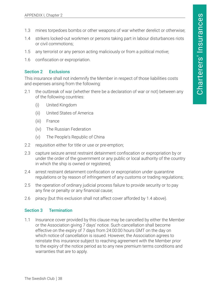- <span id="page-38-0"></span>1.3 mines torpedoes bombs or other weapons of war whether derelict or otherwise;
- 1.4 strikers locked-out workmen or persons taking part in labour disturbances riots or civil commotions;
- 1.5 any terrorist or any person acting maliciously or from a political motive;
- 1.6 confiscation or expropriation.

#### Section 2 Exclusions

This insurance shall not indemnify the Member in respect of those liabilities costs and expenses arising from the following:

- 2.1 the outbreak of war (whether there be a declaration of war or not) between any of the following countries:
	- (i) United Kingdom
	- (ii) United States of America
	- (iii) France
	- (iv) The Russian Federation
	- (v) The People's Republic of China
- 2.2 requisition either for title or use or pre-emption;
- 2.3 capture seizure arrest restraint detainment confiscation or expropriation by or under the order of the government or any public or local authority of the country in which the ship is owned or registered;
- 2.4 arrest restraint detainment confiscation or expropriation under quarantine regulations or by reason of infringement of any customs or trading regulations;
- 2.5 the operation of ordinary judicial process failure to provide security or to pay any fine or penalty or any financial cause;
- 2.6 piracy (but this exclusion shall not affect cover afforded by 1.4 above).

#### Section 3 Termination

1.1 Insurance cover provided by this clause may be cancelled by either the Member or the Association giving 7 days' notice. Such cancellation shall become effective on the expiry of 7 days from 24:00:00 hours GMT on the day on which notice of cancellation is issued. However, the Association agrees to reinstate this insurance subject to reaching agreement with the Member prior to the expiry of the notice period as to any new premium terms conditions and warranties that are to apply.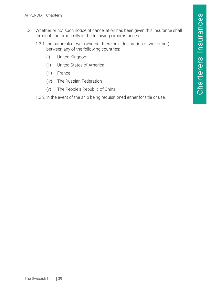- 1.2 Whether or not such notice of cancellation has been given this insurance shall terminate automatically in the following circumstances:
	- 1.2.1 the outbreak of war (whether there be a declaration of war or not) between any of the following countries:
		- (i) United Kingdom
		- (ii) United States of America
		- (iii) France
		- (iv) The Russian Federation
		- (v) The People's Republic of China
	- 1.2.2 in the event of the ship being requisitioned either for title or use.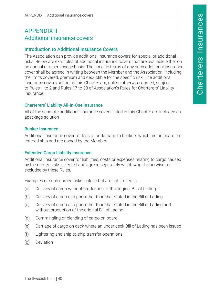# <span id="page-40-0"></span>APPENDIX II Additional insurance covers

#### Introduction to Additional Insurance Covers

The Association can provide additional insurance covers for special or additional risks. Below are examples of additional insurance covers that are available either on an annual or a per voyage basis. The specific terms of any such additional insurance cover shall be agreed in writing between the Member and the Association, including the limits covered, premium and deductible for the specific risk. The additional insurance covers set out in this Chapter are, unless otherwise agreed, subject to Rules 1 to 2 and Rules 17 to 38 of Association's Rules for Charterers' Liability **Insurance** 

#### Charterers' Liability All-In-One Insurance

All of the separate additional insurance covers listed in this Chapter are included as apackage solution

#### Bunker Insurance

Additional insurance cover for loss of or damage to bunkers which are on board the entered ship and are owned by the Member.

#### Extended Cargo Liability Insurance

Additional insurance cover for liabilities, costs or expenses relating to cargo caused by the named risks selected and agreed separately which would otherwise be excluded by these Rules.

Examples of such named risks include but are not limited to:

- (a) Delivery of cargo without production of the original Bill of Lading
- (b) Delivery of cargo at a port other than that stated in the Bill of Lading
- (c) Delivery of cargo at a port other than that stated in the Bill of Lading and without production of the original Bill of Lading
- (d) Commingling or blending of cargo on board
- (e) Carriage of cargo on deck where an under deck Bill of Lading has been issued
- (f) Lightering and ship-to-ship transfer operations
- (g) Deviation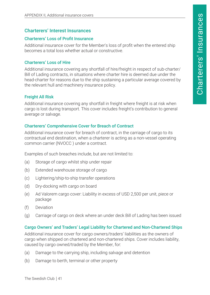# <span id="page-41-0"></span>Charterers' Interest Insurances

#### Charterers' Loss of Profit Insurance

Additional insurance cover for the Member's loss of profit when the entered ship becomes a total loss whether actual or constructive.

## Charterers' Loss of Hire

Additional insurance covering any shortfall of hire/freight in respect of sub-charter/ Bill of Lading contracts, in situations where charter hire is deemed due under the head-charter for reasons due to the ship sustaining a particular average covered by the relevant hull and machinery insurance policy.

# **Freight All Risk**

Additional insurance covering any shortfall in freight where freight is at risk when cargo is lost during transport. This cover includes freight's contribution to general average or salvage.

# Charterers' Comprehensive Cover for Breach of Contract

Additional insurance cover for breach of contract, in the carriage of cargo to its contractual end destination, when a charterer is acting as a non-vessel operating common carrier (NVOCC ) under a contract.

Examples of such breaches include, but are not limited to:

- (a) Storage of cargo whilst ship under repair
- (b) Extended warehouse storage of cargo
- (c) Lightering/ship-to-ship transfer operations
- (d) Dry-docking with cargo on board
- (e) Ad Valorem cargo cover: Liability in excess of USD 2,500 per unit, piece or package
- (f) Deviation
- (g) Carriage of cargo on deck where an under deck Bill of Lading has been issued

# Cargo Owners' and Traders' Legal Liability for Chartered and Non-Chartered Ships

Additional insurance cover for cargo owners/traders' liabilities as the owners of cargo when shipped on chartered and non-chartered ships. Cover includes liability, caused by cargo owned/traded by the Member, for:

- (a) Damage to the carrying ship, including salvage and detention
- (b) Damage to berth, terminal or other property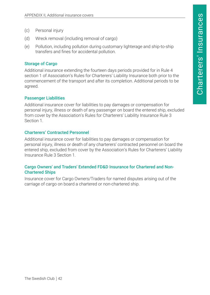- <span id="page-42-0"></span>(c) Personal injury
- (d) Wreck removal (including removal of cargo)
- (e) Pollution, including pollution during customary lighterage and ship-to-ship transfers and fines for accidental pollution.

#### Storage of Cargo

Additional insurance extending the fourteen days periods provided for in Rule 4 section 1 of Association's Rules for Charterers' Liability Insurance both prior to the commencement of the transport and after its completion. Additional periods to be agreed.

#### Passenger Liabilities

Additional insurance cover for liabilities to pay damages or compensation for personal injury, illness or death of any passenger on board the entered ship, excluded from cover by the Association's Rules for Charterers' Liability Insurance Rule 3 Section 1.

#### Charterers' Contracted Personnel

Additional insurance cover for liabilities to pay damages or compensation for personal injury, illness or death of any charterers' contracted personnel on board the entered ship, excluded from cover by the Association's Rules for Charterers' Liability Insurance Rule 3 Section 1.

#### Cargo Owners' and Traders' Extended FD&D Insurance for Chartered and Non-Chartered Ships

Insurance cover for Cargo Owners/Traders for named disputes arising out of the carriage of cargo on board a chartered or non-chartered ship.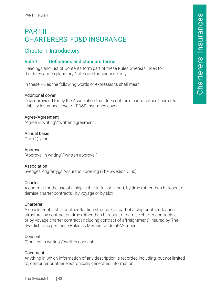# <span id="page-43-0"></span>PART II CHARTERERS' FD&D INSURANCE

# Chapter I Introductory

# Rule 1 Definitions and standard terms

Headings and List of Contents form part of these Rules whereas Index to the Rules and Explanatory Notes are for guidance only.

In these Rules the following words or expressions shall mean:

#### Additional cover

Cover provided for by the Association that does not form part of either Charterers' Liability insurance cover or FD&D insurance cover.

#### Agree/Agreement

"Agree in writing"/"written agreement".

#### Annual basis

One (1) year.

# Approval

"Approval in writing"/"written approval".

#### Association

Sveriges Ångfartygs Assurans Förening (The Swedish Club).

#### **Charter**

A contract for the use of a ship, either in full or in part, by time (other than bareboat or demise charter contracts), by voyage or by slot.

#### Charterer

A charterer of a ship or other floating structure, or part of a ship or other floating structure, by contract on time (other than bareboat or demise charter contracts), or by voyage charter contract (including contract of affreightment) insured by The Swedish Club per these Rules as Member or Joint-Member.

#### Consent

"Consent in writing"/"written consent".

#### Document

Anything in which information of any description is recorded including, but not limited to, computer or other electronically generated information.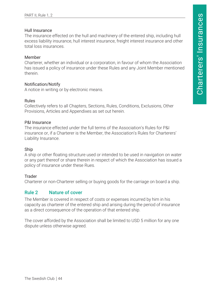#### <span id="page-44-0"></span>Hull Insurance

The insurance effected on the hull and machinery of the entered ship, including hull excess liability insurance, hull interest insurance, freight interest insurance and other total loss insurances.

#### Member

Charterer, whether an individual or a corporation, in favour of whom the Association has issued a policy of insurance under these Rules and any Joint Member mentioned therein.

#### Notification/Notify

A notice in writing or by electronic means.

#### Rules

Collectively refers to all Chapters, Sections, Rules, Conditions, Exclusions, Other Provisions, Articles and Appendixes as set out herein.

#### P&I Insurance

The insurance effected under the full terms of the Association's Rules for P&I insurance or, if a Charterer is the Member, the Association's Rules for Charterers' Liability Insurance.

#### Ship

A ship or other floating structure used or intended to be used in navigation on water or any part thereof or share therein in respect of which the Association has issued a policy of insurance under these Rues.

#### Trader

Charterer or non-Charterer selling or buying goods for the carriage on board a ship.

#### Rule 2 Nature of cover

The Member is covered in respect of costs or expenses incurred by him in his capacity as charterer of the entered ship and arising during the period of insurance as a direct consequence of the operation of that entered ship.

The cover afforded by the Association shall be limited to USD 5 million for any one dispute unless otherwise agreed.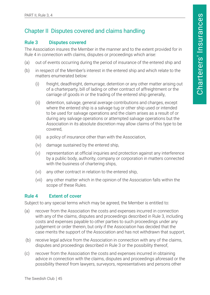# <span id="page-45-0"></span>Chapter II Disputes covered and claims handling

#### Rule 3 Disputes covered

The Association insures the Member in the manner and to the extent provided for in Rule 4 in connection with claims, disputes or proceedings which arise:

- (a) out of events occurring during the period of insurance of the entered ship and
- (b) in respect of the Member's interest in the entered ship and which relate to the matters enumerated below:
	- (i) freight, deadfreight, demurrage, detention or any other matter arising out of a charterparty, bill of lading or other contract of affreightment or the carriage of goods in or the trading of the entered ship generally,
	- (ii) detention, salvage, general average contributions and charges, except where the entered ship is a salvage tug or other ship used or intended to be used for salvage operations and the claim arises as a result of or during any salvage operations or attempted salvage operations but the Association in its absolute discretion may allow claims of this type to be covered,
	- (iii) a policy of insurance other than with the Association,
	- (iv) damage sustained by the entered ship,
	- (v) representation at official inquiries and protection against any interference by a public body, authority, company or corporation in matters connected with the business of chartering ships,
	- (vi) any other contract in relation to the entered ship,
	- (vii) any other matter which in the opinion of the Association falls within the scope of these Rules.

#### Rule 4 Extent of cover

Subject to any special terms which may be agreed, the Member is entitled to:

- (a) recover from the Association the costs and expenses incurred in connection with any of the claims, disputes and proceedings described in Rule 3, including costs and expenses payable to other parties to such proceedings under any judgement or order therein, but only if the Association has decided that the case merits the support of the Association and has not withdrawn that support,
- (b) receive legal advice from the Association in connection with any of the claims, disputes and proceedings described in Rule 3 or the possibility thereof,
- (c) recover from the Association the costs and expenses incurred in obtaining advice in connection with the claims, disputes and proceedings aforesaid or the possibility thereof from lawyers, surveyors, representatives and persons other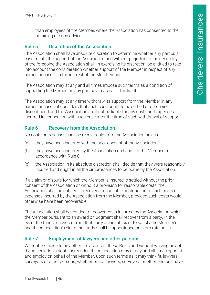<span id="page-46-0"></span>than employees of the Member, where the Association has consented to the obtaining of such advice.

#### Rule 5 Discretion of the Association

The Association shall have absolute discretion to determine whether any particular case merits the support of the Association and without prejudice to the generality of the foregoing the Association shall, in exercising its discretion, be entitled to take into account the consideration whether support of the Member in respect of any particular case is in the interest of the Membership.

The Association may at any and all times impose such terms as a condition of supporting the Member in any particular case as it thinks fit.

The Association may at any time withdraw its support from the Member in any particular case if it considers that such case ought to be settled or otherwise discontinued and the Association shall not be liable for any costs and expenses incurred in connection with such case after the time of such withdrawal of support.

#### Rule 6 Recovery from the Association

No costs or expenses shall be recoverable from the Association unless:

- (a) they have been incurred with the prior consent of the Association,
- (b) they have been incurred by the Association on behalf of the Member in accordance with Rule 8,
- (c) the Association in its absolute discretion shall decide that they were reasonably incurred and ought in all the circumstances to be borne by the Association.

If a claim or dispute for which the Member is insured is settled without the prior consent of the Association or without a provision for reasonable costs, the Association shall be entitled to recover a reasonable contribution to such costs or expenses incurred by the Association from the Member, provided such costs would otherwise have been recoverable.

The Association shall be entitled to recover costs incurred by the Association which the Member pursuant to an award or judgment shall recover from a party. In the event the funds recovered from that party are insufficient to satisfy the Member's and the Association's claim the funds shall be apportioned on a pro rata basis.

#### Rule 7 Employment of lawyers and other persons

Without prejudice to any other provisions of these Rules and without waiving any of the Association's rights hereunder, the Association may at any and all times appoint and employ on behalf of the Member, upon such terms as it may think fit, lawyers, surveyors or other persons, whether or not lawyers, surveyors or other persons have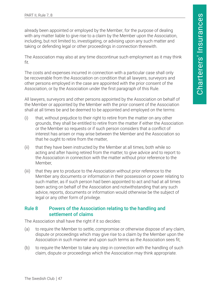<span id="page-47-0"></span>already been appointed or employed by the Member, for the purpose of dealing with any matter liable to give rise to a claim by the Member upon the Association, including, but not limited to, investigating, or advising upon any such matter and taking or defending legal or other proceedings in connection therewith.

The Association may also at any time discontinue such employment as it may think fit.

The costs and expenses incurred in connection with a particular case shall only be recoverable from the Association on condition that all lawyers, surveyors and other persons employed in the case are appointed with the prior consent of the Association, or by the Association under the first paragraph of this Rule.

All lawyers, surveyors and other persons appointed by the Association on behalf of the Member or appointed by the Member with the prior consent of the Association shall at all times be and be deemed to be appointed and employed on the terms:

- (i) that, without prejudice to their right to retire from the matter on any other grounds, they shall be entitled to retire from the matter if either the Association or the Member so requests or if such person considers that a conflict of interest has arisen or may arise between the Member and the Association so that he ought to retire from the matter,
- (ii) that they have been instructed by the Member at all times, both while so acting and after having retired from the matter, to give advice and to report to the Association in connection with the matter without prior reference to the Member,
- (iii) that they are to produce to the Association without prior reference to the Member any documents or information in their possession or power relating to such matter, as if such person had been appointed to act and had at all times been acting on behalf of the Association and notwithstanding that any such advice, reports, documents or information would otherwise be the subject of legal or any other form of privilege.

#### Rule 8 Powers of the Association relating to the handling and settlement of claims

The Association shall have the right if it so decides:

- (a) to require the Member to settle, compromise or otherwise dispose of any claim, dispute or proceedings which may give rise to a claim by the Member upon the Association in such manner and upon such terms as the Association sees fit;
- (b) to require the Member to take any step in connection with the handling of such claim, dispute or proceedings which the Association may think appropriate.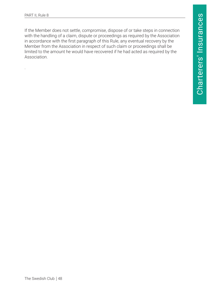.

If the Member does not settle, compromise, dispose of or take steps in connection with the handling of a claim, dispute or proceedings as required by the Association in accordance with the first paragraph of this Rule, any eventual recovery by the Member from the Association in respect of such claim or proceedings shall be limited to the amount he would have recovered if he had acted as required by the Association.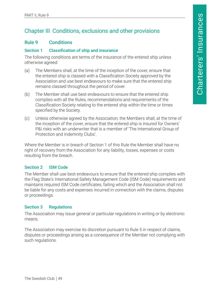# <span id="page-49-0"></span>Chapter III Conditions, exclusions and other provisions

#### Rule 9 Conditions

#### Section 1 Classification of ship and insurance

The following conditions are terms of the insurance of the entered ship unless otherwise agreed:

- (a) The Members shall, at the time of the inception of the cover, ensure that the entered ship is classed with a Classification Society approved by the Association and use best endeavours to make sure that the entered ship remains classed throughout the period of cover.
- (b) The Member shall use best endeavours to ensure that the entered ship complies with all the Rules, recommendations and requirements of the Classification Society relating to the entered ship within the time or times specified by the Society.
- (c) Unless otherwise agreed by the Association, the Members shall, at the time of the inception of the cover, ensure that the entered ship is insured for Owners' P&I risks with an underwriter that is a member of 'The International Group of Protection and Indemnity Clubs'.

Where the Member is in breach of Section 1 of this Rule the Member shall have no right of recovery from the Association for any liability, losses, expenses or costs resulting from the breach.

#### Section 2 ISM Code

The Member shall use best endeavours to ensure that the entered ship complies with the Flag State's International Safety Management Code (ISM Code) requirements and maintains required ISM Code certificates, failing which and the Association shall not be liable for any costs and expenses incurred in connection with the claims, disputes or proceedings.

#### Section 3 Regulations

The Association may issue general or particular regulations in writing or by electronic means.

The Association may exercise its discretion pursuant to Rule 5 in respect of claims, disputes or proceedings arising as a consequence of the Member not complying with such regulations.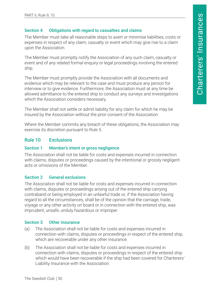#### <span id="page-50-0"></span>Section 4 Obligations with regard to casualties and claims

The Member must take all reasonable steps to avert or minimise liabilities, costs or expenses in respect of any claim, casualty or event which may give rise to a claim upon the Association.

The Member must promptly notify the Association of any such claim, casualty or event and of any related formal enquiry or legal proceedings involving the entered ship.

The Member must promptly provide the Association with all documents and evidence which may be relevant to the case and must produce any person for interview or to give evidence. Furthermore, the Association must at any time be allowed admittance to the entered ship to conduct any surveys and investigations which the Association considers necessary.

The Member shall not settle or admit liability for any claim for which he may be insured by the Association without the prior consent of the Association.

Where the Member commits any breach of these obligations, the Association may exercise its discretion pursuant to Rule 5.

#### Rule 10 Exclusions

#### Section 1 Member's intent or gross negligence

The Association shall not be liable for costs and expenses incurred in connection with claims, disputes or proceedings caused by the intentional or grossly negligent acts or omissions of the Member.

#### Section 2 General exclusions

The Association shall not be liable for costs and expenses incurred in connection with claims, disputes or proceedings arising out of the entered ship carrying contraband or being employed in an unlawful trade or, if the Association having regard to all the circumstances, shall be of the opinion that the carriage, trade, voyage or any other activity on board or in connection with the entered ship, was imprudent, unsafe, unduly hazardous or improper.

#### Section 3 Other insurance

- (a) The Association shall not be liable for costs and expenses incurred in connection with claims, disputes or proceedings in respect of the entered ship, which are recoverable under any other insurance.
- (b) The Association shall not be liable for costs and expenses incurred in connection with claims, disputes or proceedings in respect of the entered ship which would have been recoverable if the ship had been covered for Charterers' Liability Insurance with the Association.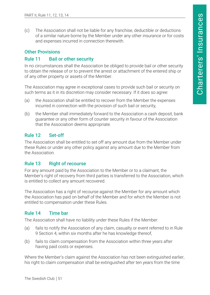<span id="page-51-0"></span>(c) The Association shall not be liable for any franchise, deductible or deductions of a similar nature borne by the Member under any other insurance or for costs and expenses incurred in connection therewith.

#### Other Provisions

#### Rule 11 Bail or other security

In no circumstances shall the Association be obliged to provide bail or other security to obtain the release of or to prevent the arrest or attachment of the entered ship or of any other property or assets of the Member.

The Association may agree in exceptional cases to provide such bail or security on such terms as it in its discretion may consider necessary. If it does so agree:

- (a) the Association shall be entitled to recover from the Member the expenses incurred in connection with the provision of such bail or security,
- (b) the Member shall immediately forward to the Association a cash deposit, bank guarantee or any other form of counter security in favour of the Association that the Association deems appropriate.

#### Rule 12 Set-off

The Association shall be entitled to set off any amount due from the Member under these Rules or under any other policy against any amount due to the Member from the Association.

#### Rule 13 Right of recourse

For any amount paid by the Association to the Member or to a claimant, the Member's right of recovery from third parties is transferred to the Association, which is entitled to collect any amount recovered.

The Association has a right of recourse against the Member for any amount which the Association has paid on behalf of the Member and for which the Member is not entitled to compensation under these Rules.

#### Rule 14 Time bar

The Association shall have no liability under these Rules if the Member:

- (a) fails to notify the Association of any claim, casualty or event referred to in Rule 9 Section 4, within six months after he has knowledge thereof,
- (b) fails to claim compensation from the Association within three years after having paid costs or expenses.

Where the Member's claim against the Association has not been extinguished earlier, his right to claim compensation shall be extinguished after ten years from the time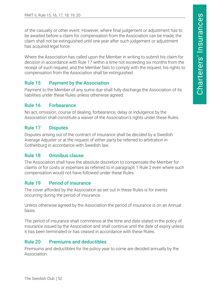<span id="page-52-0"></span>of the casualty or other event. However, where final judgement or adjustment has to be awaited before a claim for compensation from the Association can be made, the claim shall not be extinguished until one year after such judgement or adjustment has acquired legal force.

Where the Association has called upon the Member in writing to submit his claim for decision in accordance with Rule 17 within a time not exceeding six months from the receipt of such request, and the Member fails to comply with the request, his rights to compensation from the Association shall be extinguished.

#### Rule 15 Payment by the Association

Payment to the Member of any sums due shall fully discharge the Association of its liabilities under these Rules unless otherwise agreed.

#### Rule 16 Forbearance

No act, omission, course of dealing, forbearance, delay or indulgence by the Association shall constitute a waiver of the Association's rights under these Rules.

#### Rule 17 Disputes

Disputes arising out of the contract of insurance shall be decided by a Swedish Average Adjuster or at the request of either party be referred to arbitration in Gothenburg in accordance with Swedish law.

#### Rule 18 Omnibus clause

The Association shall have the absolute discretion to compensate the Member for claims or for costs or expenses as referred to in paragraph 1 Rule 2 even where such compensation would not have followed under these Rules.

#### Rule 19 Period of insurance

The cover afforded by the Association as set out in these Rules is for events occurring during the period of insurance.

Unless otherwise agreed by the Association the period of insurance is on an Annual basis.

The period of insurance shall commence at the time and date stated in the policy of insurance issued by the Association and shall continue until the date of expiry unless it has been terminated or has ceased in accordance with these Rules.

#### Rule 20 Premiums and deductibles

Premiums and deductibles for the policy year to come are decided annually by the Association.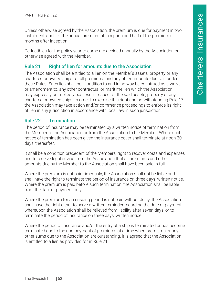<span id="page-53-0"></span>Unless otherwise agreed by the Association, the premium is due for payment in two instalments, half of the annual premium at inception and half of the premium six months after inception.

Deductibles for the policy year to come are decided annually by the Association or otherwise agreed with the Member.

#### Rule 21 Right of lien for amounts due to the Association

The Association shall be entitled to a lien on the Member's assets, property or any chartered or owned ships for all premiums and any other amounts due to it under these Rules. Such lien shall be in addition to and in no way be construed as a waiver or amendment to, any other contractual or maritime lien which the Association may expressly or impliedly possess in respect of the said assets, property or any chartered or owned ships. In order to exercise this right and notwithstanding Rule 17 the Association may take action and/or commence proceedings to enforce its right of lien in any jurisdiction in accordance with local law in such jurisdiction.

#### Rule 22 Termination

The period of insurance may be terminated by a written notice of termination from the Member to the Association or from the Association to the Member. Where such notice of termination has been given the insurance cover shall terminate at noon 30 days' thereafter.

It shall be a condition precedent of the Members' right to recover costs and expenses and to receive legal advice from the Association that all premiums and other amounts due by the Member to the Association shall have been paid in full.

Where the premium is not paid timeously, the Association shall not be liable and shall have the right to terminate the period of insurance on three days' written notice. Where the premium is paid before such termination, the Association shall be liable from the date of payment only.

Where the premium for an ensuing period is not paid without delay, the Association shall have the right either to serve a written reminder regarding the date of payment, whereupon the Association shall be relieved from liability after seven days, or to terminate the period of insurance on three days' written notice.

Where the period of insurance and/or the entry of a ship is terminated or has become terminated due to the non-payment of premiums at a time when premiums or any other sums due to the Association are outstanding, it is agreed that the Association is entitled to a lien as provided for in Rule 21.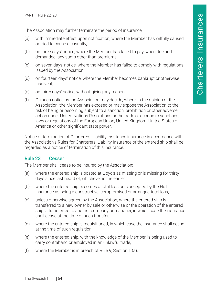<span id="page-54-0"></span>The Association may further terminate the period of insurance:

- (a) with immediate effect upon notification, where the Member has wilfully caused or tried to cause a casualty,
- (b) on three days' notice, where the Member has failed to pay, when due and demanded, any sums other than premiums,
- (c) on seven days' notice, where the Member has failed to comply with regulations issued by the Association,
- (d) on fourteen days' notice, where the Member becomes bankrupt or otherwise insolvent,
- (e) on thirty days' notice, without giving any reason.
- (f) On such notice as the Association may decide, where, in the opinion of the Association, the Member has exposed or may expose the Association to the risk of being or becoming subject to a sanction, prohibition or other adverse action under United Nations Resolutions or the trade or economic sanctions, laws or regulations of the European Union, United Kingdom, United States of America or other significant state power.

Notice of termination of Charterers' Liability Insutance insurance in accordance with the Association's Rules for Charterers' Liability Insurance of the entered ship shall be regarded as a notice of termination of this insurance.

#### Rule 23 Cesser

The Member shall cease to be insured by the Association:

- (a) where the entered ship is posted at Lloyd's as missing or is missing for thirty days since last heard of, whichever is the earlier,
- (b) where the entered ship becomes a total loss or is accepted by the Hull insurance as being a constructive, compromised or arranged total loss,
- (c) unless otherwise agreed by the Association, where the entered ship is transferred to a new owner by sale or otherwise or the operation of the entered ship is transferred to another company or manager, in which case the insurance shall cease at the time of such transfer,
- (d) where the entered ship is requisitioned, in which case the insurance shall cease at the time of such requisition,
- (e) where the entered ship, with the knowledge of the Member, is being used to carry contraband or employed in an unlawful trade,
- (f) where the Member is in breach of Rule 9, Section 1 (a).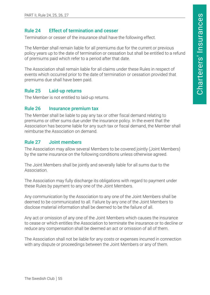#### <span id="page-55-0"></span>Rule 24 Effect of termination and cesser

Termination or cesser of the insurance shall have the following effect.

The Member shall remain liable for all premiums due for the current or previous policy years up to the date of termination or cessation but shall be entitled to a refund of premiums paid which refer to a period after that date.

The Association shall remain liable for all claims under these Rules in respect of events which occurred prior to the date of termination or cessation provided that premiums due shall have been paid.

#### Rule 25 Laid-up returns

The Member is not entitled to laid-up returns.

#### Rule 26 Insurance premium tax

The Member shall be liable to pay any tax or other fiscal demand relating to premiums or other sums due under the insurance policy. In the event that the Association has become liable for any such tax or fiscal demand, the Member shall reimburse the Association on demand.

#### Rule 27 Joint members

The Association may allow several Members to be covered jointly (Joint Members) by the same insurance on the following conditions unless otherwise agreed.

The Joint Members shall be jointly and severally liable for all sums due to the Association.

The Association may fully discharge its obligations with regard to payment under these Rules by payment to any one of the Joint Members.

Any communication by the Association to any one of the Joint Members shall be deemed to be communicated to all. Failure by any one of the Joint Members to disclose material information shall be deemed to be the failure of all.

Any act or omission of any one of the Joint Members which causes the insurance to cease or which entitles the Association to terminate the insurance or to decline or reduce any compensation shall be deemed an act or omission of all of them.

The Association shall not be liable for any costs or expenses incurred in connection with any dispute or proceedings between the Joint Members or any of them.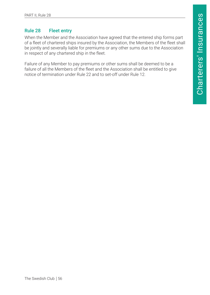#### <span id="page-56-0"></span>Rule 28 Fleet entry

When the Member and the Association have agreed that the entered ship forms part of a fleet of chartered ships insured by the Association, the Members of the fleet shall be jointly and severally liable for premiums or any other sums due to the Association in respect of any chartered ship in the fleet.

Failure of any Member to pay premiums or other sums shall be deemed to be a failure of all the Members of the fleet and the Association shall be entitled to give notice of termination under Rule 22 and to set-off under Rule 12.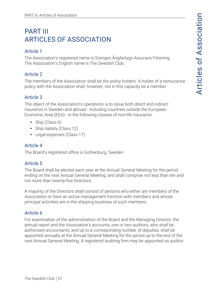# <span id="page-57-0"></span>PART III ARTICLES OF ASSOCIATION

#### Article 1

The Association's registered name is Sveriges Ångfartygs Assurans Förening. The Association's English name is The Swedish Club.

# Article 2

The members of the Association shall be the policy holders. A holder of a reinsurance policy with the Association shall, however, not in this capacity be a member.

#### Article 3

The object of the Association's operations is to issue both direct and indirect insurance in Sweden and abroad - including countries outside the European Economic Area (EEA) - in the following classes of non-life insurance:

- $\bullet$  Ship (Class 6)
- Ship liability (Class 12)
- Legal expenses (Class 17)

# Article 4

The Board's registered office is Gothenburg, Sweden.

# Article 5

The Board shall be elected each year at the Annual General Meeting for the period ending on the next Annual General Meeting, and shall comprise not less than ten and not more than twenty-five Directors.

A majority of the Directors shall consist of persons who either are members of the Association or have an active management function with members and whose principal activities are in the shipping business of such members.

# Article 6

For examination of the administration of the Board and the Managing Director, the annual report and the Association's accounts, one or two auditors, who shall be authorised accountants, and up to a corresponding number of deputies, shall be appointed annually at the Annual General Meeting for the period up to the end of the next Annual General Meeting. A registered auditing firm may be appointed as auditor.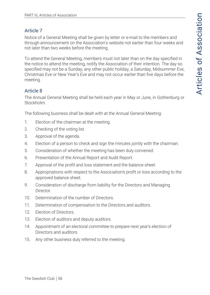## Article 7

Notice of a General Meeting shall be given by letter or e-mail to the members and through announcement on the Association's website not earlier than four weeks and not later than two weeks before the meeting.

To attend the General Meeting, members must not later than on the day specified in the notice to attend the meeting, notify the Association of their intention. The day so specified may not be a Sunday, any other public holiday, a Saturday, Midsummer Eve, Christmas Eve or New Year's Eve and may not occur earlier than five days before the meeting.

# Article 8

The Annual General Meeting shall be held each year in May or June, in Gothenburg or Stockholm.

The following business shall be dealt with at the Annual General Meeting:

- 1. Election of the chairman at the meeting.
- 2. Checking of the voting list.
- 3. Approval of the agenda.
- 4. Election of a person to check and sign the minutes jointly with the chairman.
- 5. Consideration of whether the meeting has been duly convened.
- 6. Presentation of the Annual Report and Audit Report.
- 7. Approval of the profit and loss statement and the balance sheet.
- 8. Appropriations with respect to the Association's profit or loss according to the approved balance sheet.
- 9. Consideration of discharge from liability for the Directors and Managing **Director**
- 10. Determination of the number of Directors.
- 11. Determination of compensation to the Directors and auditors.
- 12. Election of Directors.
- 13. Election of auditors and deputy auditors.
- 14. Appointment of an electoral committee to prepare next year's election of Directors and auditors.
- 15. Any other business duly referred to the meeting.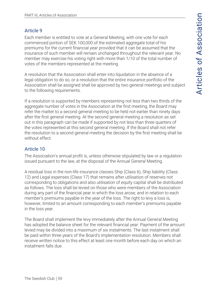#### Article 9

Each member is entitled to vote at a General Meeting, with one vote for each commenced portion of SEK 100,000 of the estimated aggregate total of his premiums for the current financial year provided that it can be assumed that the insurance of such member will remain unchanged throughout the relevant year. No member may exercise his voting right with more than 1/10 of the total number of votes of the members represented at the meeting.

A resolution that the Association shall enter into liquidation in the absence of a legal obligation to do so, or a resolution that the entire insurance portfolio of the Association shall be assigned shall be approved by two general meetings and subject to the following requirements.

If a resolution is supported by members representing not less than two thirds of the aggregate number of votes in the Association at the first meeting, the Board may refer the matter to a second general meeting to be held not earlier than ninety days after the first general meeting. At the second general meeting a resolution as set out in this paragraph can be made if supported by not less than three quarters of the votes represented at this second general meeting. If the Board shall not refer the resolution to a second general meeting the decision by the first meeting shall be without effect.

## Article 10

The Association's annual profit is, unless otherwise stipulated by law or a regulation issued pursuant to the law, at the disposal of the Annual General Meeting.

A residual loss in the non-life insurance classes Ship (Class 6), Ship liability (Class 12) and Legal expenses (Class 17) that remains after utilisation of reserves not corresponding to obligations and also utilisation of equity capital shall be distributed as follows. The loss shall be levied on those who were members of the Association during any part of the financial year in which the loss arose, and in relation to each member's premiums payable in the year of the loss. The right to levy a loss is, however, limited to an amount corresponding to each member's premiums payable in the loss year.

The Board shall implement the levy immediately after the Annual General Meeting has adopted the balance sheet for the relevant financial year. Payment of the amount levied may be divided into a maximum of six instalments. The last instalment shall be paid within three years of the Board's implementation resolution. Members shall receive written notice to this effect at least one month before each day on which an instalment falls due.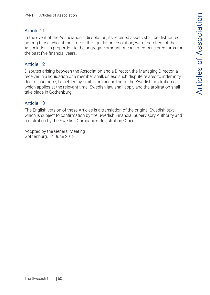#### Article 11

In the event of the Association's dissolution, its retained assets shall be distributed among those who, at the time of the liquidation resolution, were members of the Association, in proportion to the aggregate amount of each member's premiums for the past five financial years.

# Article 12

Disputes arising between the Association and a Director, the Managing Director, a receiver in a liquidation or a member shall, unless such dispute relates to indemnity due to insurance, be settled by arbitrators according to the Swedish arbitration act which applies at the relevant time. Swedish law shall apply and the arbitration shall take place in Gothenburg.

# Article 13

The English version of these Articles is a translation of the original Swedish text which is subject to confirmation by the Swedish Financial Supervisory Authority and registration by the Swedish Companies Registration Office.

Adopted by the General Meeting Gothenburg, 14 June 2018